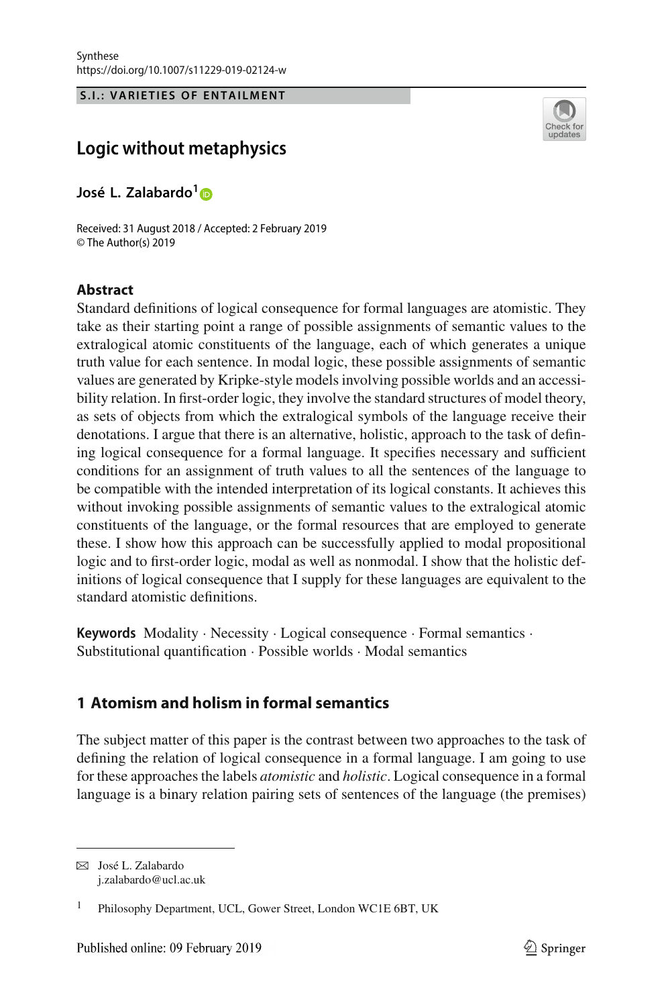**S.I.: VARIETIES OF ENTAILMENT**



# **Logic without metaphysics**

**José L. Zalabardo[1](http://orcid.org/0000-0002-1247-3548)**

Received: 31 August 2018 / Accepted: 2 February 2019 © The Author(s) 2019

## **Abstract**

Standard definitions of logical consequence for formal languages are atomistic. They take as their starting point a range of possible assignments of semantic values to the extralogical atomic constituents of the language, each of which generates a unique truth value for each sentence. In modal logic, these possible assignments of semantic values are generated by Kripke-style models involving possible worlds and an accessibility relation. In first-order logic, they involve the standard structures of model theory, as sets of objects from which the extralogical symbols of the language receive their denotations. I argue that there is an alternative, holistic, approach to the task of defining logical consequence for a formal language. It specifies necessary and sufficient conditions for an assignment of truth values to all the sentences of the language to be compatible with the intended interpretation of its logical constants. It achieves this without invoking possible assignments of semantic values to the extralogical atomic constituents of the language, or the formal resources that are employed to generate these. I show how this approach can be successfully applied to modal propositional logic and to first-order logic, modal as well as nonmodal. I show that the holistic definitions of logical consequence that I supply for these languages are equivalent to the standard atomistic definitions.

**Keywords** Modality · Necessity · Logical consequence · Formal semantics · Substitutional quantification · Possible worlds · Modal semantics

## **1 Atomism and holism in formal semantics**

The subject matter of this paper is the contrast between two approaches to the task of defining the relation of logical consequence in a formal language. I am going to use for these approaches the labels *atomistic* and *holistic*. Logical consequence in a formal language is a binary relation pairing sets of sentences of the language (the premises)

 $\boxtimes$  José L. Zalabardo j.zalabardo@ucl.ac.uk

<sup>&</sup>lt;sup>1</sup> Philosophy Department, UCL, Gower Street, London WC1E 6BT, UK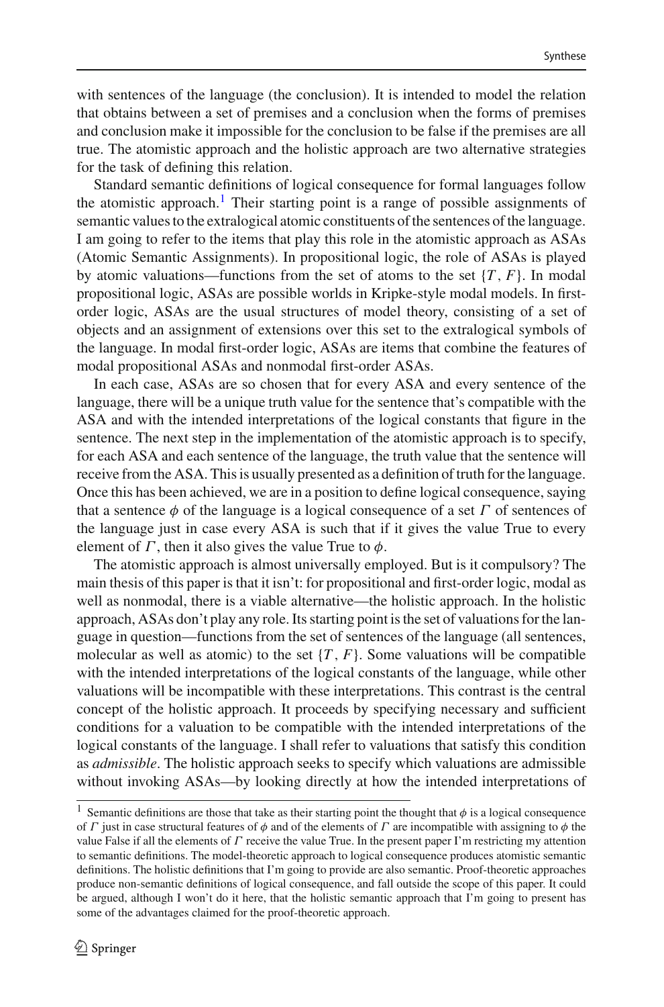with sentences of the language (the conclusion). It is intended to model the relation that obtains between a set of premises and a conclusion when the forms of premises and conclusion make it impossible for the conclusion to be false if the premises are all true. The atomistic approach and the holistic approach are two alternative strategies for the task of defining this relation.

Standard semantic definitions of logical consequence for formal languages follow the atomistic approach.<sup>1</sup> Their starting point is a range of possible assignments of semantic values to the extralogical atomic constituents of the sentences of the language. I am going to refer to the items that play this role in the atomistic approach as ASAs (Atomic Semantic Assignments). In propositional logic, the role of ASAs is played by atomic valuations—functions from the set of atoms to the set  $\{T, F\}$ . In modal propositional logic, ASAs are possible worlds in Kripke-style modal models. In firstorder logic, ASAs are the usual structures of model theory, consisting of a set of objects and an assignment of extensions over this set to the extralogical symbols of the language. In modal first-order logic, ASAs are items that combine the features of modal propositional ASAs and nonmodal first-order ASAs.

In each case, ASAs are so chosen that for every ASA and every sentence of the language, there will be a unique truth value for the sentence that's compatible with the ASA and with the intended interpretations of the logical constants that figure in the sentence. The next step in the implementation of the atomistic approach is to specify, for each ASA and each sentence of the language, the truth value that the sentence will receive from the ASA. This is usually presented as a definition of truth for the language. Once this has been achieved, we are in a position to define logical consequence, saying that a sentence  $\phi$  of the language is a logical consequence of a set  $\Gamma$  of sentences of the language just in case every ASA is such that if it gives the value True to every element of  $\Gamma$ , then it also gives the value True to  $\phi$ .

The atomistic approach is almost universally employed. But is it compulsory? The main thesis of this paper is that it isn't: for propositional and first-order logic, modal as well as nonmodal, there is a viable alternative—the holistic approach. In the holistic approach, ASAs don't play any role. Its starting point is the set of valuations for the language in question—functions from the set of sentences of the language (all sentences, molecular as well as atomic) to the set  $\{T, F\}$ . Some valuations will be compatible with the intended interpretations of the logical constants of the language, while other valuations will be incompatible with these interpretations. This contrast is the central concept of the holistic approach. It proceeds by specifying necessary and sufficient conditions for a valuation to be compatible with the intended interpretations of the logical constants of the language. I shall refer to valuations that satisfy this condition as *admissible*. The holistic approach seeks to specify which valuations are admissible without invoking ASAs—by looking directly at how the intended interpretations of

<span id="page-1-0"></span><sup>&</sup>lt;sup>1</sup> Semantic definitions are those that take as their starting point the thought that  $\phi$  is a logical consequence of Γ just in case structural features of  $\phi$  and of the elements of Γ are incompatible with assigning to  $\phi$  the value False if all the elements of  $\Gamma$  receive the value True. In the present paper I'm restricting my attention to semantic definitions. The model-theoretic approach to logical consequence produces atomistic semantic definitions. The holistic definitions that I'm going to provide are also semantic. Proof-theoretic approaches produce non-semantic definitions of logical consequence, and fall outside the scope of this paper. It could be argued, although I won't do it here, that the holistic semantic approach that I'm going to present has some of the advantages claimed for the proof-theoretic approach.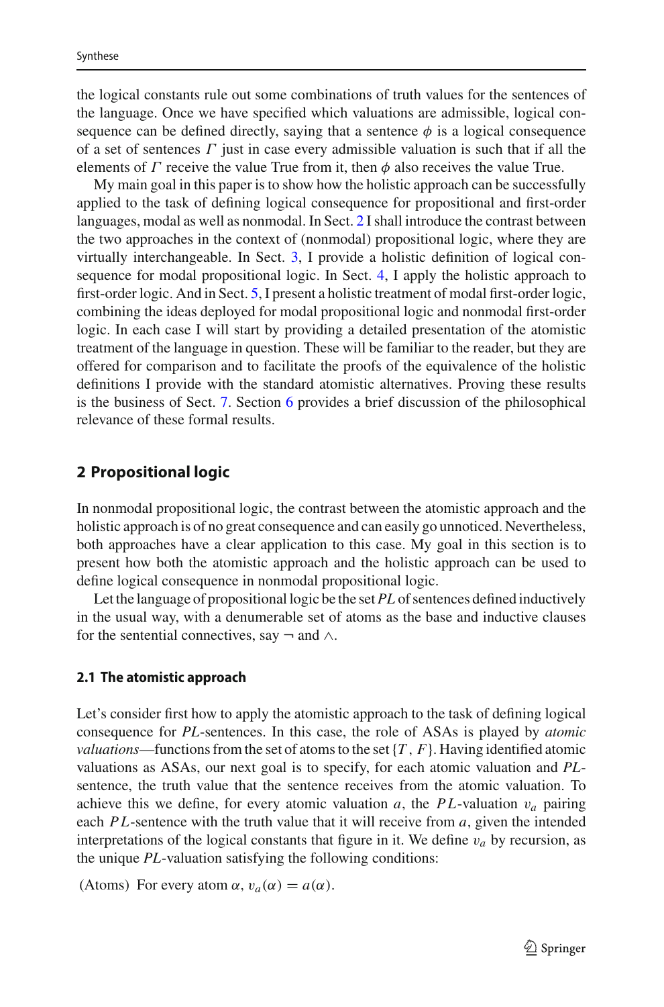the logical constants rule out some combinations of truth values for the sentences of the language. Once we have specified which valuations are admissible, logical consequence can be defined directly, saying that a sentence  $\phi$  is a logical consequence of a set of sentences  $\Gamma$  just in case every admissible valuation is such that if all the elements of  $\Gamma$  receive the value True from it, then  $\phi$  also receives the value True.

My main goal in this paper is to show how the holistic approach can be successfully applied to the task of defining logical consequence for propositional and first-order languages, modal as well as nonmodal. In Sect. [2](#page-2-0) I shall introduce the contrast between the two approaches in the context of (nonmodal) propositional logic, where they are virtually interchangeable. In Sect. [3,](#page-4-0) I provide a holistic definition of logical consequence for modal propositional logic. In Sect. [4,](#page-7-0) I apply the holistic approach to first-order logic. And in Sect. [5,](#page-11-0) I present a holistic treatment of modal first-order logic, combining the ideas deployed for modal propositional logic and nonmodal first-order logic. In each case I will start by providing a detailed presentation of the atomistic treatment of the language in question. These will be familiar to the reader, but they are offered for comparison and to facilitate the proofs of the equivalence of the holistic definitions I provide with the standard atomistic alternatives. Proving these results is the business of Sect. [7.](#page-16-0) Section [6](#page-14-0) provides a brief discussion of the philosophical relevance of these formal results.

### <span id="page-2-0"></span>**2 Propositional logic**

In nonmodal propositional logic, the contrast between the atomistic approach and the holistic approach is of no great consequence and can easily go unnoticed. Nevertheless, both approaches have a clear application to this case. My goal in this section is to present how both the atomistic approach and the holistic approach can be used to define logical consequence in nonmodal propositional logic.

Let the language of propositional logic be the set*PL* of sentences defined inductively in the usual way, with a denumerable set of atoms as the base and inductive clauses for the sentential connectives, say  $\neg$  and  $\wedge$ .

#### **2.1 The atomistic approach**

Let's consider first how to apply the atomistic approach to the task of defining logical consequence for *PL*-sentences. In this case, the role of ASAs is played by *atomic valuations*—functions from the set of atoms to the set  $\{T, F\}$ . Having identified atomic valuations as ASAs, our next goal is to specify, for each atomic valuation and *PL*sentence, the truth value that the sentence receives from the atomic valuation. To achieve this we define, for every atomic valuation  $a$ , the  $PL$ -valuation  $v_a$  pairing each *P L*-sentence with the truth value that it will receive from *a*, given the intended interpretations of the logical constants that figure in it. We define  $v_a$  by recursion, as the unique *PL*-valuation satisfying the following conditions:

(Atoms) For every atom  $\alpha$ ,  $v_a(\alpha) = a(\alpha)$ .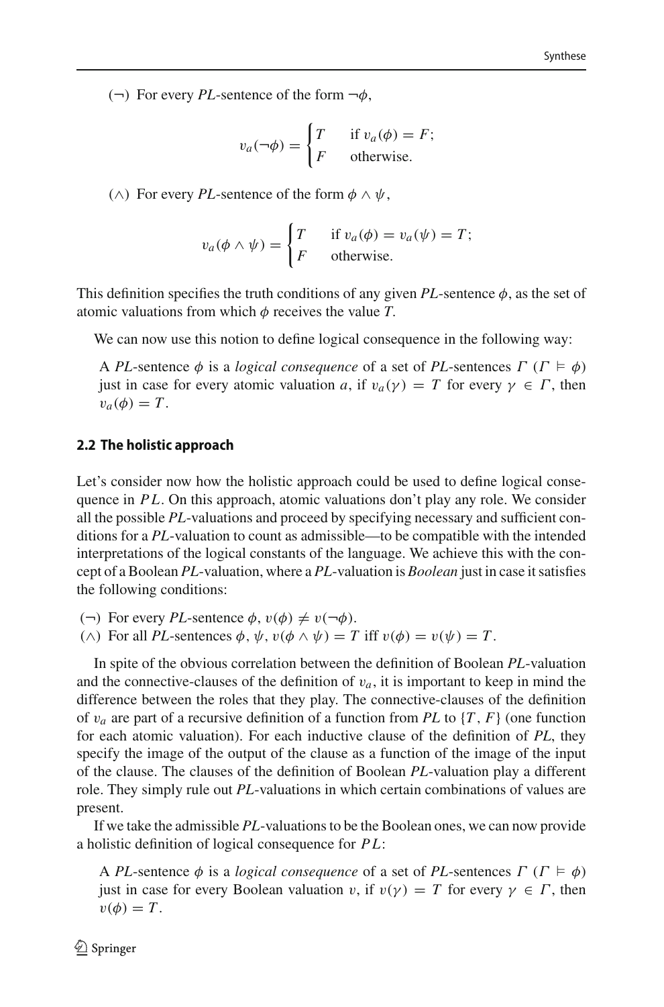$(\neg)$  For every *PL*-sentence of the form  $\neg \phi$ ,

$$
v_a(\neg \phi) = \begin{cases} T & \text{if } v_a(\phi) = F; \\ F & \text{otherwise.} \end{cases}
$$

( $\wedge$ ) For every *PL*-sentence of the form  $\phi \wedge \psi$ ,

$$
v_a(\phi \wedge \psi) = \begin{cases} T & \text{if } v_a(\phi) = v_a(\psi) = T; \\ F & \text{otherwise.} \end{cases}
$$

This definition specifies the truth conditions of any given  $PL$ -sentence  $\phi$ , as the set of atomic valuations from which  $\phi$  receives the value *T*.

We can now use this notion to define logical consequence in the following way:

A *PL*-sentence  $\phi$  is a *logical consequence* of a set of *PL*-sentences  $\Gamma$  ( $\Gamma \models \phi$ ) just in case for every atomic valuation *a*, if  $v_a(\gamma) = T$  for every  $\gamma \in \Gamma$ , then  $v_a(\phi) = T$ .

#### **2.2 The holistic approach**

Let's consider now how the holistic approach could be used to define logical consequence in *P L*. On this approach, atomic valuations don't play any role. We consider all the possible *PL*-valuations and proceed by specifying necessary and sufficient conditions for a *PL*-valuation to count as admissible—to be compatible with the intended interpretations of the logical constants of the language. We achieve this with the concept of a Boolean *PL*-valuation, where a *PL*-valuation is *Boolean* just in case it satisfies the following conditions:

(¬) For every *PL*-sentence  $\phi$ ,  $v(\phi) \neq v(\neg \phi)$ . ( $\wedge$ ) For all *PL*-sentences  $\phi$ ,  $\psi$ ,  $v(\phi \wedge \psi) = T$  iff  $v(\phi) = v(\psi) = T$ .

In spite of the obvious correlation between the definition of Boolean *PL*-valuation and the connective-clauses of the definition of  $v_a$ , it is important to keep in mind the difference between the roles that they play. The connective-clauses of the definition of  $v_a$  are part of a recursive definition of a function from PL to  $\{T, F\}$  (one function for each atomic valuation). For each inductive clause of the definition of *PL*, they specify the image of the output of the clause as a function of the image of the input of the clause. The clauses of the definition of Boolean *PL*-valuation play a different role. They simply rule out *PL*-valuations in which certain combinations of values are present.

If we take the admissible *PL*-valuations to be the Boolean ones, we can now provide a holistic definition of logical consequence for *P L*:

A *PL*-sentence  $\phi$  is a *logical consequence* of a set of *PL*-sentences  $\Gamma$  ( $\Gamma \models \phi$ ) just in case for every Boolean valuation v, if  $v(\gamma) = T$  for every  $\gamma \in \Gamma$ , then  $v(\phi) = T$ .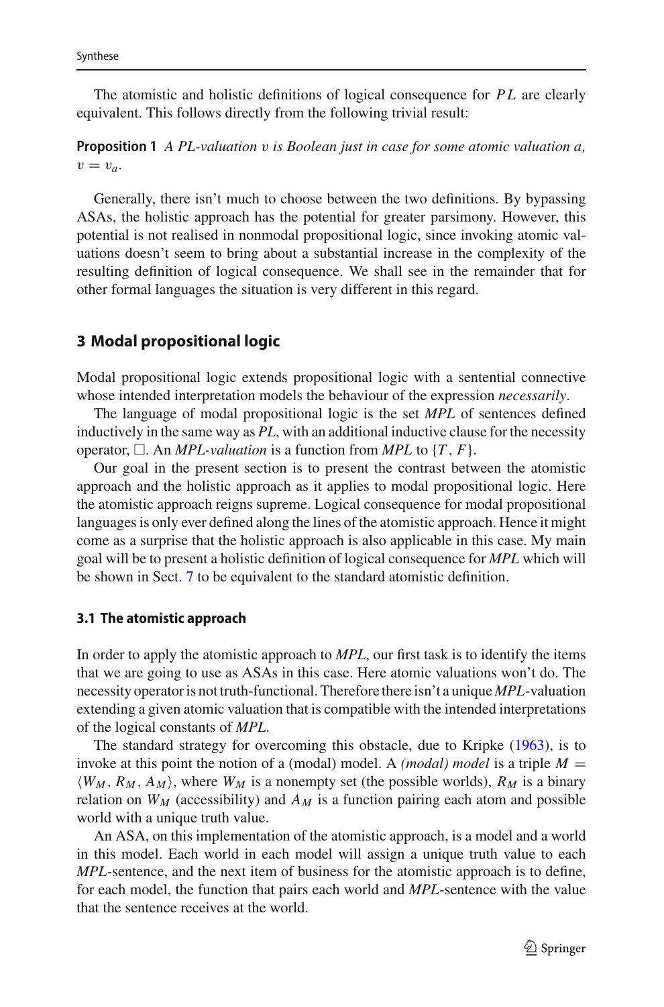The atomistic and holistic definitions of logical consequence for *P L* are clearly equivalent. This follows directly from the following trivial result:

**Proposition 1** *A PL-valuation* v *is Boolean just in case for some atomic valuation a,*  $v = v_a$ .

Generally, there isn't much to choose between the two definitions. By bypassing ASAs, the holistic approach has the potential for greater parsimony. However, this potential is not realised in nonmodal propositional logic, since invoking atomic valuations doesn't seem to bring about a substantial increase in the complexity of the resulting definition of logical consequence. We shall see in the remainder that for other formal languages the situation is very different in this regard.

### <span id="page-4-0"></span>**3 Modal propositional logic**

Modal propositional logic extends propositional logic with a sentential connective whose intended interpretation models the behaviour of the expression *necessarily*.

The language of modal propositional logic is the set *MPL* of sentences defined inductively in the same way as *PL*, with an additional inductive clause for the necessity operator,  $\Box$ . An *MPL-valuation* is a function from *MPL* to  $\{T, F\}$ .

Our goal in the present section is to present the contrast between the atomistic approach and the holistic approach as it applies to modal propositional logic. Here the atomistic approach reigns supreme. Logical consequence for modal propositional languages is only ever defined along the lines of the atomistic approach. Hence it might come as a surprise that the holistic approach is also applicable in this case. My main goal will be to present a holistic definition of logical consequence for *MPL* which will be shown in Sect. [7](#page-16-0) to be equivalent to the standard atomistic definition.

#### **3.1 The atomistic approach**

In order to apply the atomistic approach to *MPL*, our first task is to identify the items that we are going to use as ASAs in this case. Here atomic valuations won't do. The necessity operator is not truth-functional. Therefore there isn't a unique *MPL*-valuation extending a given atomic valuation that is compatible with the intended interpretations of the logical constants of *MPL*.

The standard strategy for overcoming this obstacle, due to Kripk[e](#page-27-0) [\(1963\)](#page-27-0), is to invoke at this point the notion of a (modal) model. A *(modal) model* is a triple *M* =  $\langle W_M, R_M, A_M \rangle$ , where  $W_M$  is a nonempty set (the possible worlds),  $R_M$  is a binary relation on  $W_M$  (accessibility) and  $A_M$  is a function pairing each atom and possible world with a unique truth value.

An ASA, on this implementation of the atomistic approach, is a model and a world in this model. Each world in each model will assign a unique truth value to each *MPL*-sentence, and the next item of business for the atomistic approach is to define, for each model, the function that pairs each world and *MPL*-sentence with the value that the sentence receives at the world.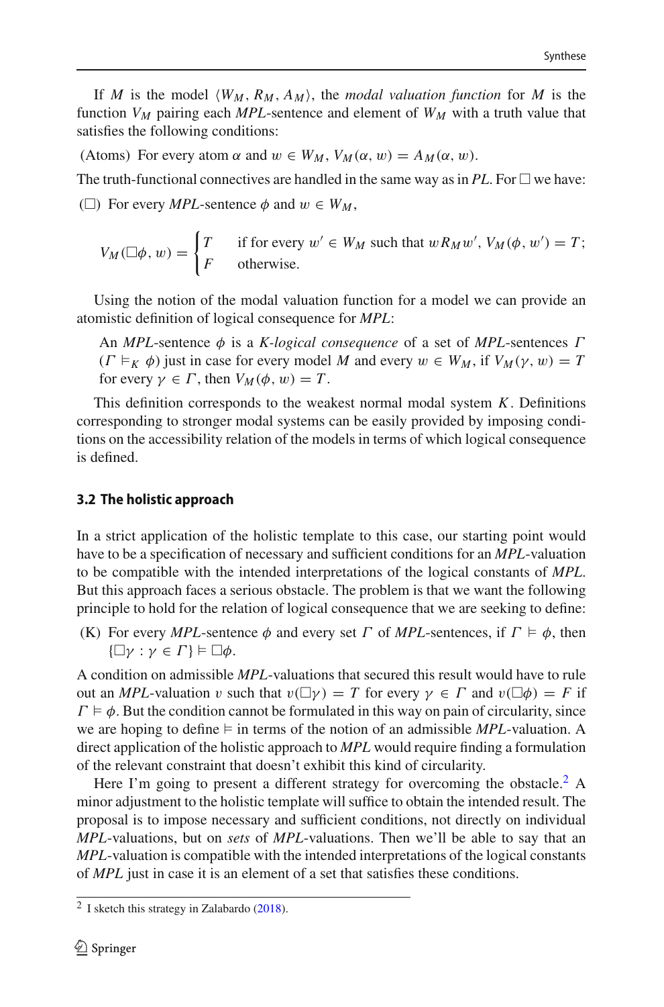If *M* is the model  $\langle W_M, R_M, A_M \rangle$ , the *modal valuation function* for *M* is the function  $V_M$  pairing each  $MPL$ -sentence and element of  $W_M$  with a truth value that satisfies the following conditions:

(Atoms) For every atom  $\alpha$  and  $w \in W_M$ ,  $V_M(\alpha, w) = A_M(\alpha, w)$ .

The truth-functional connectives are handled in the same way as in  $PL$ . For  $\square$  we have: ( $\square$ ) For every *MPL*-sentence  $\phi$  and  $w \in W_M$ ,

$$
V_M(\Box \phi, w) = \begin{cases} T & \text{if for every } w' \in W_M \text{ such that } wR_M w', V_M(\phi, w') = T; \\ F & \text{otherwise.} \end{cases}
$$

Using the notion of the modal valuation function for a model we can provide an atomistic definition of logical consequence for *MPL*:

An *MPL*-sentence φ is a *K-logical consequence* of a set of *MPL*-sentences Γ  $(\Gamma \vDash_K \phi)$  just in case for every model *M* and every  $w \in W_M$ , if  $V_M(\gamma, w) = T$ for every  $\gamma \in \Gamma$ , then  $V_M(\phi, w) = T$ .

This definition corresponds to the weakest normal modal system *K*. Definitions corresponding to stronger modal systems can be easily provided by imposing conditions on the accessibility relation of the models in terms of which logical consequence is defined.

#### **3.2 The holistic approach**

In a strict application of the holistic template to this case, our starting point would have to be a specification of necessary and sufficient conditions for an *MPL*-valuation to be compatible with the intended interpretations of the logical constants of *MPL*. But this approach faces a serious obstacle. The problem is that we want the following principle to hold for the relation of logical consequence that we are seeking to define:

(K) For every *MPL*-sentence  $\phi$  and every set  $\Gamma$  of *MPL*-sentences, if  $\Gamma \models \phi$ , then  $\{\Box \gamma : \gamma \in \Gamma\} \models \Box \phi.$ 

A condition on admissible *MPL*-valuations that secured this result would have to rule out an *MPL*-valuation v such that  $v(\square \gamma) = T$  for every  $\gamma \in \Gamma$  and  $v(\square \phi) = F$  if  $\Gamma \models \phi$ . But the condition cannot be formulated in this way on pain of circularity, since we are hoping to define  $\models$  in terms of the notion of an admissible  $MPL$ -valuation. A direct application of the holistic approach to *MPL* would require finding a formulation of the relevant constraint that doesn't exhibit this kind of circularity.

Here I'm going to present a different strategy for overcoming the obstacle.<sup>[2](#page-5-0)</sup> A minor adjustment to the holistic template will suffice to obtain the intended result. The proposal is to impose necessary and sufficient conditions, not directly on individual *MPL*-valuations, but on *sets* of *MPL*-valuations. Then we'll be able to say that an *MPL*-valuation is compatible with the intended interpretations of the logical constants of *MPL* just in case it is an element of a set that satisfies these conditions.

<span id="page-5-0"></span> $2$  I sketch this strategy in Zalabard[o](#page-27-1) [\(2018](#page-27-1)).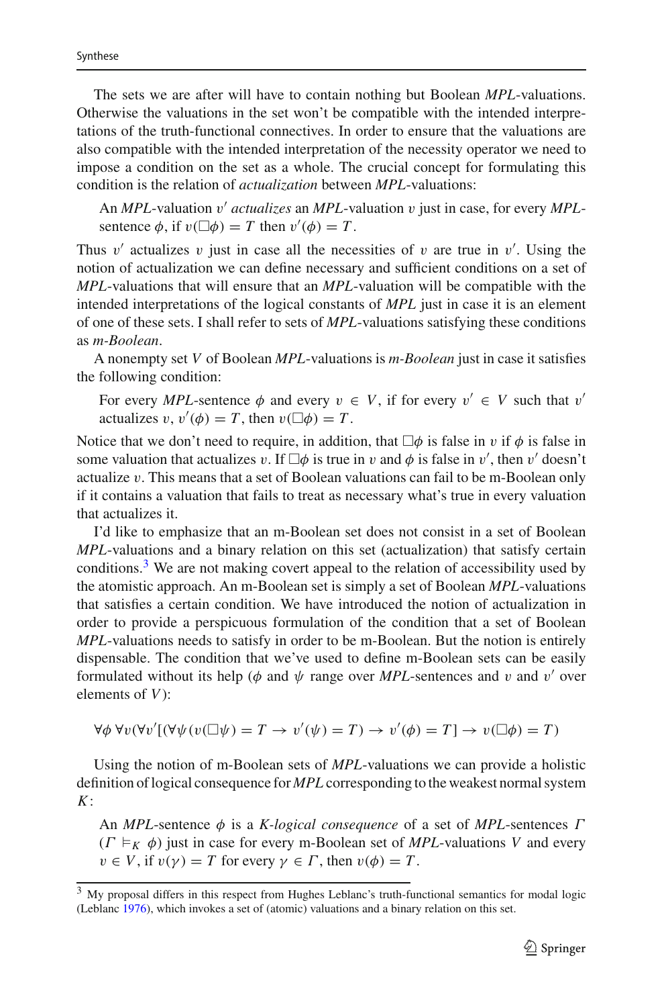The sets we are after will have to contain nothing but Boolean *MPL*-valuations. Otherwise the valuations in the set won't be compatible with the intended interpretations of the truth-functional connectives. In order to ensure that the valuations are also compatible with the intended interpretation of the necessity operator we need to impose a condition on the set as a whole. The crucial concept for formulating this condition is the relation of *actualization* between *MPL*-valuations:

An *MPL*-valuation v' *actualizes* an *MPL*-valuation v just in case, for every *MPL*sentence  $\phi$ , if  $v(\Box \phi) = T$  then  $v'(\phi) = T$ .

Thus  $v'$  actualizes v just in case all the necessities of v are true in  $v'$ . Using the notion of actualization we can define necessary and sufficient conditions on a set of *MPL*-valuations that will ensure that an *MPL*-valuation will be compatible with the intended interpretations of the logical constants of *MPL* just in case it is an element of one of these sets. I shall refer to sets of *MPL*-valuations satisfying these conditions as *m-Boolean*.

A nonempty set *V* of Boolean *MPL*-valuations is *m-Boolean* just in case it satisfies the following condition:

For every *MPL*-sentence  $\phi$  and every  $v \in V$ , if for every  $v' \in V$  such that  $v'$ actualizes  $v, v'(\phi) = T$ , then  $v(\Box \phi) = T$ .

Notice that we don't need to require, in addition, that  $\Box \phi$  is false in v if  $\phi$  is false in some valuation that actualizes v. If  $\Box \phi$  is true in v and  $\phi$  is false in v', then v' doesn't actualize  $v$ . This means that a set of Boolean valuations can fail to be m-Boolean only if it contains a valuation that fails to treat as necessary what's true in every valuation that actualizes it.

I'd like to emphasize that an m-Boolean set does not consist in a set of Boolean *MPL*-valuations and a binary relation on this set (actualization) that satisfy certain conditions.<sup>3</sup> We are not making covert appeal to the relation of accessibility used by the atomistic approach. An m-Boolean set is simply a set of Boolean *MPL*-valuations that satisfies a certain condition. We have introduced the notion of actualization in order to provide a perspicuous formulation of the condition that a set of Boolean *MPL*-valuations needs to satisfy in order to be m-Boolean. But the notion is entirely dispensable. The condition that we've used to define m-Boolean sets can be easily formulated without its help ( $\phi$  and  $\psi$  range over *MPL*-sentences and v and v' over elements of *V*):

$$
\forall \phi \,\forall v (\forall v' [(\forall \psi(v(\Box \psi) = T \rightarrow v'(\psi) = T) \rightarrow v'(\phi) = T] \rightarrow v(\Box \phi) = T)
$$

Using the notion of m-Boolean sets of *MPL*-valuations we can provide a holistic definition of logical consequence for *MPL* corresponding to the weakest normal system *K*:

An *MPL*-sentence φ is a *K-logical consequence* of a set of *MPL*-sentences Γ  $(T \vDash_K \phi)$  just in case for every m-Boolean set of *MPL*-valuations *V* and every  $v \in V$ , if  $v(\gamma) = T$  for every  $\gamma \in \Gamma$ , then  $v(\phi) = T$ .

<span id="page-6-0"></span><sup>3</sup> My proposal differs in this respect from Hughes Leblanc's truth-functional semantics for modal logic (Leblan[c](#page-27-2) [1976](#page-27-2)), which invokes a set of (atomic) valuations and a binary relation on this set.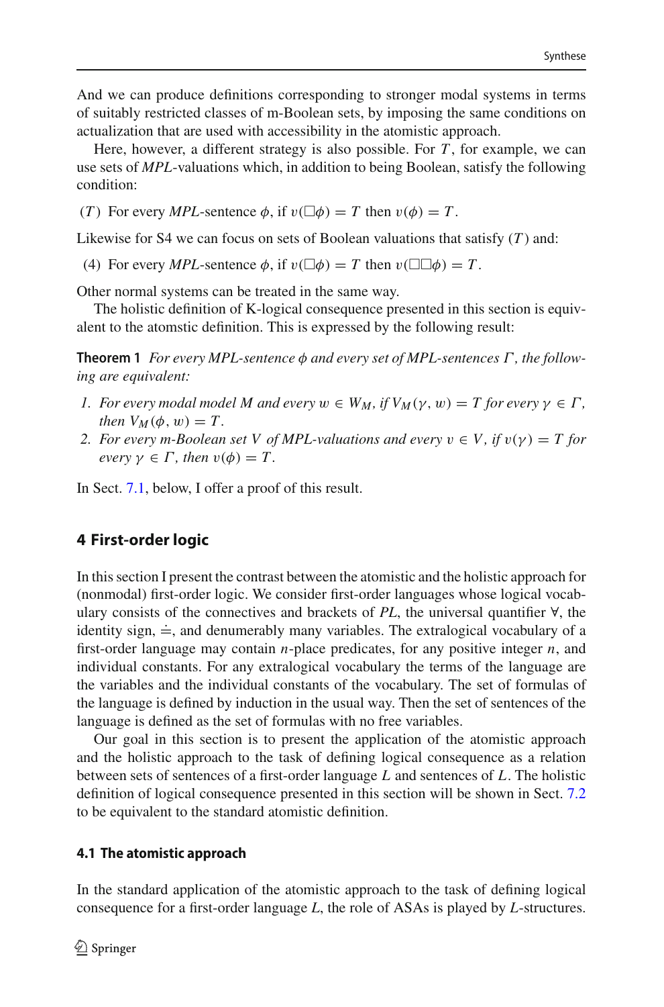And we can produce definitions corresponding to stronger modal systems in terms of suitably restricted classes of m-Boolean sets, by imposing the same conditions on actualization that are used with accessibility in the atomistic approach.

Here, however, a different strategy is also possible. For *T* , for example, we can use sets of *MPL*-valuations which, in addition to being Boolean, satisfy the following condition:

(*T*) For every *MPL*-sentence  $\phi$ , if  $v(\Box \phi) = T$  then  $v(\phi) = T$ .

Likewise for S4 we can focus on sets of Boolean valuations that satisfy  $(T)$  and:

(4) For every *MPL*-sentence  $\phi$ , if  $v(\Box \phi) = T$  then  $v(\Box \Box \phi) = T$ .

Other normal systems can be treated in the same way.

<span id="page-7-1"></span>The holistic definition of K-logical consequence presented in this section is equivalent to the atomstic definition. This is expressed by the following result:

**Theorem 1** *For every MPL-sentence* φ *and every set of MPL-sentences* Γ *, the following are equivalent:*

- *1. For every modal model M and every*  $w \in W_M$ , if  $V_M(\gamma, w) = T$  for every  $\gamma \in \Gamma$ , *then*  $V_M(\phi, w) = T$ .
- *2. For every m-Boolean set V of MPL-valuations and every*  $v \in V$ , if  $v(\gamma) = T$  for *every*  $\gamma \in \Gamma$ *, then*  $v(\phi) = T$ *.*

In Sect. [7.1,](#page-16-1) below, I offer a proof of this result.

# <span id="page-7-0"></span>**4 First-order logic**

In this section I present the contrast between the atomistic and the holistic approach for (nonmodal) first-order logic. We consider first-order languages whose logical vocabulary consists of the connectives and brackets of *PL*, the universal quantifier ∀, the identity sign,  $\dot{=}$ , and denumerably many variables. The extralogical vocabulary of a first-order language may contain *n*-place predicates, for any positive integer *n*, and individual constants. For any extralogical vocabulary the terms of the language are the variables and the individual constants of the vocabulary. The set of formulas of the language is defined by induction in the usual way. Then the set of sentences of the language is defined as the set of formulas with no free variables.

Our goal in this section is to present the application of the atomistic approach and the holistic approach to the task of defining logical consequence as a relation between sets of sentences of a first-order language *L* and sentences of *L*. The holistic definition of logical consequence presented in this section will be shown in Sect. [7.2](#page-17-0) to be equivalent to the standard atomistic definition.

## **4.1 The atomistic approach**

In the standard application of the atomistic approach to the task of defining logical consequence for a first-order language *L*, the role of ASAs is played by *L*-structures.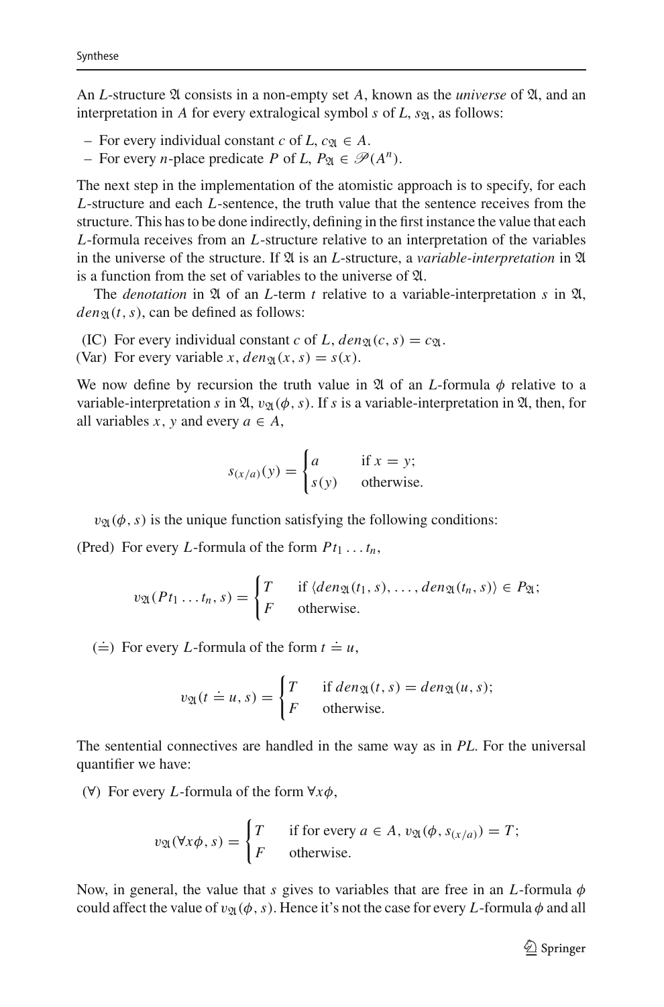An *L*-structure  $\mathfrak A$  consists in a non-empty set *A*, known as the *universe* of  $\mathfrak A$ , and an interpretation in *A* for every extralogical symbol  $s$  of  $L$ ,  $s_{\mathfrak{A}}$ , as follows:

- For every individual constant *c* of  $L$ ,  $c_{\mathfrak{A}} \in A$ .
- For every *n*-place predicate *P* of *L*,  $P_{\mathfrak{A}} \in \mathcal{P}(A^n)$ .

The next step in the implementation of the atomistic approach is to specify, for each *L*-structure and each *L*-sentence, the truth value that the sentence receives from the structure. This has to be done indirectly, defining in the first instance the value that each *L*-formula receives from an *L*-structure relative to an interpretation of the variables in the universe of the structure. If A is an *L*-structure, a *variable-interpretation* in A is a function from the set of variables to the universe of A.

The *denotation* in  $\mathfrak A$  of an *L*-term *t* relative to a variable-interpretation *s* in  $\mathfrak A$ ,  $den_{\mathfrak{A}}(t, s)$ , can be defined as follows:

(IC) For every individual constant *c* of *L*,  $den_{\mathfrak{A}}(c, s) = c_{\mathfrak{A}}$ . (Var) For every variable *x*,  $den_{\mathfrak{A}}(x, s) = s(x)$ .

We now define by recursion the truth value in  $\mathfrak A$  of an *L*-formula  $\phi$  relative to a variable-interpretation *s* in  $\mathfrak{A}, \nu_{\mathfrak{A}}(\phi, s)$ . If *s* is a variable-interpretation in  $\mathfrak{A}$ , then, for all variables *x*, *y* and every  $a \in A$ ,

$$
s_{(x/a)}(y) = \begin{cases} a & \text{if } x = y; \\ s(y) & \text{otherwise.} \end{cases}
$$

 $v_{\mathfrak{A}}(\phi, s)$  is the unique function satisfying the following conditions:

(Pred) For every *L*-formula of the form  $Pt_1 \ldots t_n$ ,

$$
v_{\mathfrak{A}}(Pt_1 \ldots t_n, s) = \begin{cases} T & \text{if } \langle \operatorname{den}_{\mathfrak{A}}(t_1, s), \ldots, \operatorname{den}_{\mathfrak{A}}(t_n, s) \rangle \in P_{\mathfrak{A}}; \\ F & \text{otherwise.} \end{cases}
$$

 $(\doteq)$  For every *L*-formula of the form  $t \doteq u$ ,

$$
v_{\mathfrak{A}}(t \doteq u, s) = \begin{cases} T & \text{if } \operatorname{den}_{\mathfrak{A}}(t, s) = \operatorname{den}_{\mathfrak{A}}(u, s); \\ F & \text{otherwise.} \end{cases}
$$

The sentential connectives are handled in the same way as in *PL*. For the universal quantifier we have:

(∀) For every *L*-formula of the form ∀*x*φ,

$$
v_{\mathfrak{A}}(\forall x \phi, s) = \begin{cases} T & \text{if for every } a \in A, v_{\mathfrak{A}}(\phi, s_{(x/a)}) = T; \\ F & \text{otherwise.} \end{cases}
$$

Now, in general, the value that *s* gives to variables that are free in an *L*-formula  $\phi$ could affect the value of  $v_{\mathfrak{A}}(\phi, s)$ . Hence it's not the case for every *L*-formula  $\phi$  and all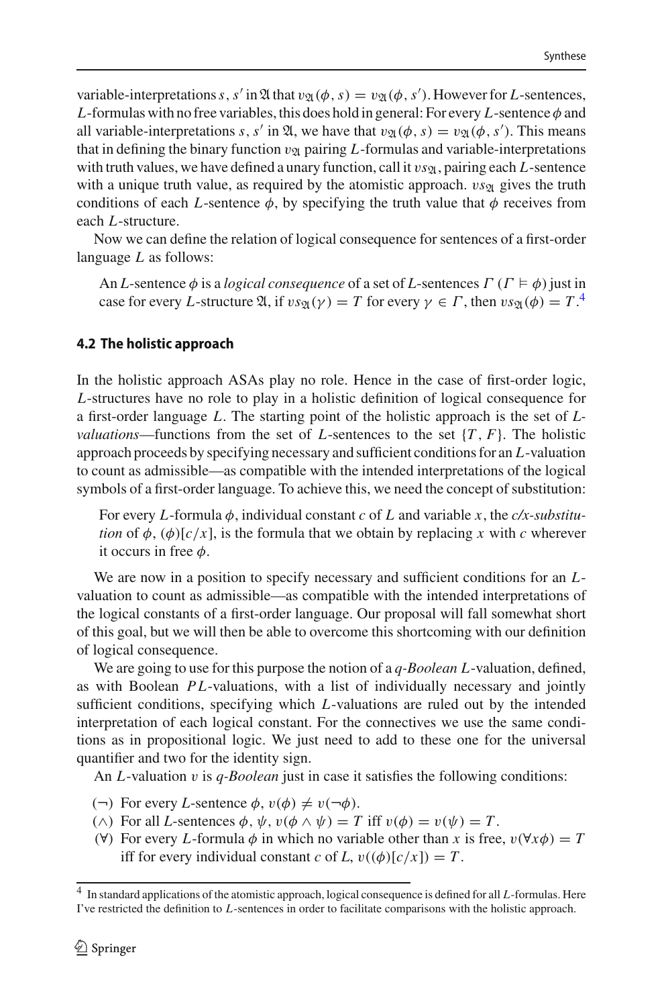variable-interpretations *s*, *s'* in  $\mathfrak{A}$  that  $v_{\mathfrak{A}}(\phi, s) = v_{\mathfrak{A}}(\phi, s')$ . However for *L*-sentences, L-formulas with no free variables, this does hold in general: For every L-sentence  $\phi$  and all variable-interpretations *s*, *s'* in  $\mathfrak{A}$ , we have that  $v_{\mathfrak{A}}(\phi, s) = v_{\mathfrak{A}}(\phi, s')$ . This means that in defining the binary function  $v_{\mathfrak{A}}$  pairing *L*-formulas and variable-interpretations with truth values, we have defined a unary function, call it  $vs_{\mathfrak{A}}$ , pairing each *L*-sentence with a unique truth value, as required by the atomistic approach.  $v s_{\mathfrak{A}}$  gives the truth conditions of each *L*-sentence  $\phi$ , by specifying the truth value that  $\phi$  receives from each *L*-structure.

Now we can define the relation of logical consequence for sentences of a first-order language *L* as follows:

An *L*-sentence  $\phi$  is a *logical consequence* of a set of *L*-sentences  $\Gamma(\Gamma \models \phi)$  just in case for every *L*-structure  $\mathfrak{A}$ , if  $vs_{\mathfrak{A}}(\gamma) = T$  for every  $\gamma \in \Gamma$ , then  $vs_{\mathfrak{A}}(\phi) = T$ .

## **4.2 The holistic approach**

In the holistic approach ASAs play no role. Hence in the case of first-order logic, *L*-structures have no role to play in a holistic definition of logical consequence for a first-order language *L*. The starting point of the holistic approach is the set of *Lvaluations*—functions from the set of *L*-sentences to the set  $\{T, F\}$ . The holistic approach proceeds by specifying necessary and sufficient conditions for an *L*-valuation to count as admissible—as compatible with the intended interpretations of the logical symbols of a first-order language. To achieve this, we need the concept of substitution:

For every *L*-formula φ, individual constant *c* of *L* and variable *x*, the *c/x-substitution* of  $\phi$ ,  $(\phi)$ [ $c/x$ ], is the formula that we obtain by replacing *x* with *c* wherever it occurs in free  $\phi$ .

We are now in a position to specify necessary and sufficient conditions for an *L*valuation to count as admissible—as compatible with the intended interpretations of the logical constants of a first-order language. Our proposal will fall somewhat short of this goal, but we will then be able to overcome this shortcoming with our definition of logical consequence.

We are going to use for this purpose the notion of a *q-Boolean L*-valuation, defined, as with Boolean *P L*-valuations, with a list of individually necessary and jointly sufficient conditions, specifying which *L*-valuations are ruled out by the intended interpretation of each logical constant. For the connectives we use the same conditions as in propositional logic. We just need to add to these one for the universal quantifier and two for the identity sign.

An *L*-valuation v is *q-Boolean* just in case it satisfies the following conditions:

- ( $\neg$ ) For every *L*-sentence  $\phi$ ,  $v(\phi) \neq v(\neg \phi)$ .
- ( $\wedge$ ) For all *L*-sentences  $\phi$ ,  $\psi$ ,  $v(\phi \wedge \psi) = T$  iff  $v(\phi) = v(\psi) = T$ .
- ( $\forall$ ) For every *L*-formula  $\phi$  in which no variable other than *x* is free,  $v(\forall x \phi) = T$ iff for every individual constant *c* of *L*,  $v((\phi)[c/x]) = T$ .

<span id="page-9-0"></span><sup>4</sup> In standard applications of the atomistic approach, logical consequence is defined for all *L*-formulas. Here I've restricted the definition to *L*-sentences in order to facilitate comparisons with the holistic approach.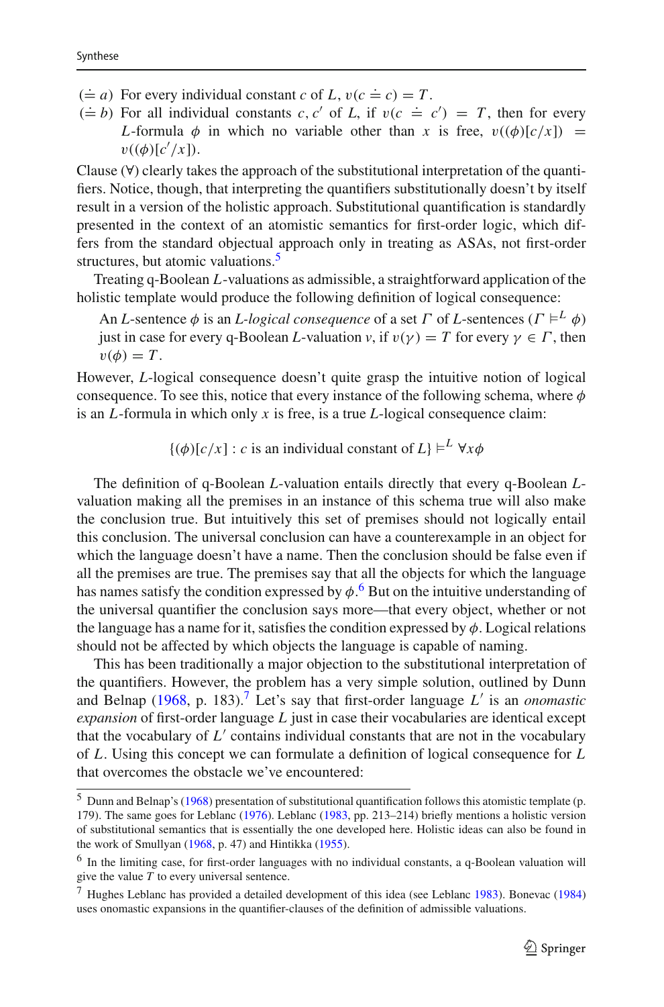- $( \doteq a)$  For every individual constant *c* of *L*,  $v(c \doteq c) = T$ .
- ( $\Rightarrow$  *b*) For all individual constants *c*, *c'* of *L*, if  $v(c \Rightarrow c') = T$ , then for every *L*-formula  $\phi$  in which no variable other than *x* is free,  $v((\phi)[c/x])$  =  $v((\phi)[c'/x]).$

Clause (∀) clearly takes the approach of the substitutional interpretation of the quantifiers. Notice, though, that interpreting the quantifiers substitutionally doesn't by itself result in a version of the holistic approach. Substitutional quantification is standardly presented in the context of an atomistic semantics for first-order logic, which differs from the standard objectual approach only in treating as ASAs, not first-order structures, but atomic valuations.<sup>[5](#page-10-0)</sup>

Treating q-Boolean *L*-valuations as admissible, a straightforward application of the holistic template would produce the following definition of logical consequence:

An *L*-sentence  $\phi$  is an *L*-logical consequence of a set  $\Gamma$  of *L*-sentences  $(\Gamma \models^L \phi)$ just in case for every q-Boolean *L*-valuation *v*, if  $v(\gamma) = T$  for every  $\gamma \in \Gamma$ , then  $v(\phi) = T$ .

However, *L*-logical consequence doesn't quite grasp the intuitive notion of logical consequence. To see this, notice that every instance of the following schema, where  $\phi$ is an *L*-formula in which only *x* is free, is a true *L*-logical consequence claim:

 $\{(\phi) [c/x] : c \text{ is an individual constant of } L\} \models^L \forall x \phi$ 

The definition of q-Boolean *L*-valuation entails directly that every q-Boolean *L*valuation making all the premises in an instance of this schema true will also make the conclusion true. But intuitively this set of premises should not logically entail this conclusion. The universal conclusion can have a counterexample in an object for which the language doesn't have a name. Then the conclusion should be false even if all the premises are true. The premises say that all the objects for which the language has names satisfy the condition expressed by  $\phi$ .<sup>[6](#page-10-1)</sup> But on the intuitive understanding of the universal quantifier the conclusion says more—that every object, whether or not the language has a name for it, satisfies the condition expressed by  $\phi$ . Logical relations should not be affected by which objects the language is capable of naming.

This has been traditionally a major objection to the substitutional interpretation of the quantifiers. However, the problem has a very simple solution, outlined by Dunn and Belnap  $(1968, p. 183)$  $(1968, p. 183)$ .<sup>[7](#page-10-2)</sup> Let's say that first-order language  $L'$  is an *onomastic expansion* of first-order language *L* just in case their vocabularies are identical except that the vocabulary of  $L'$  contains individual constants that are not in the vocabulary of *L*. Using this concept we can formulate a definition of logical consequence for *L* that overcomes the obstacle we've encountered:

<span id="page-10-0"></span><sup>5</sup> Dunn and Belnap's [\(1968](#page-27-3)) presentation of substitutional quantification follows this atomistic template (p. 179). The same goes for Leblan[c](#page-27-2) [\(1976](#page-27-2)). Leblanc [\(1983](#page-27-4), pp. 213–214) briefly mentions a holistic version of substitutional semantics that is essentially the one developed here. Holistic ideas can also be found in the work of Smullyan [\(1968,](#page-27-5) p. 47) and Hintikk[a](#page-27-6) [\(1955](#page-27-6)).

<span id="page-10-1"></span><sup>6</sup> In the limiting case, for first-order languages with no individual constants, a q-Boolean valuation will give the value *T* to every universal sentence.

<span id="page-10-2"></span><sup>7</sup> Hughes Leblanc has provided a detailed development of this idea (see Leblan[c](#page-27-4) [1983](#page-27-4)). Boneva[c](#page-27-7) [\(1984](#page-27-7)) uses onomastic expansions in the quantifier-clauses of the definition of admissible valuations.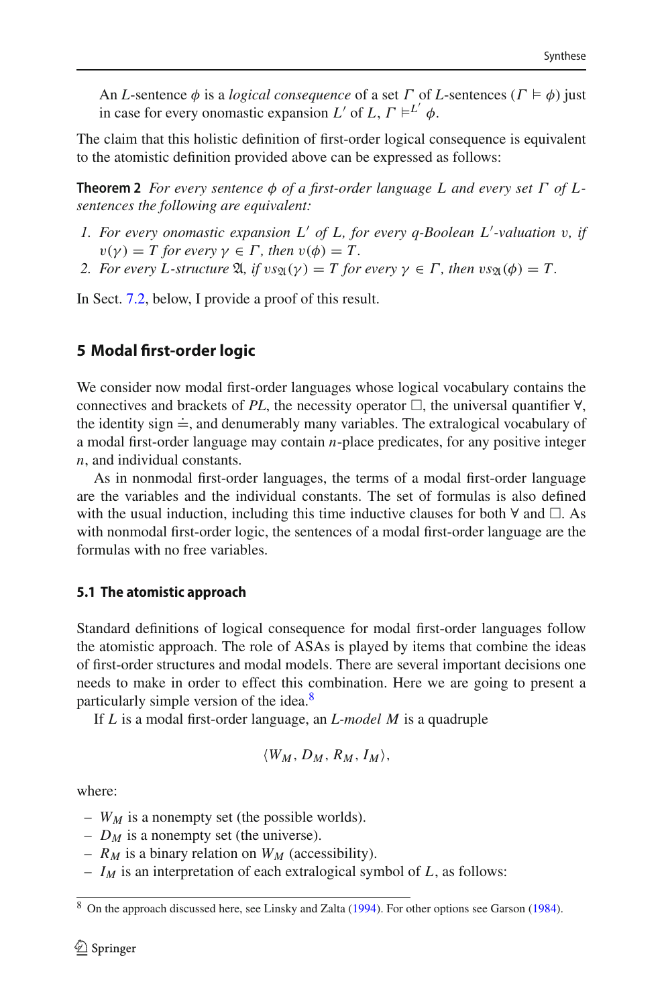An *L*-sentence  $\phi$  is a *logical consequence* of a set  $\Gamma$  of *L*-sentences ( $\Gamma \models \phi$ ) just in case for every onomastic expansion *L'* of *L*,  $\Gamma \models^{L'} \phi$ .

<span id="page-11-2"></span>The claim that this holistic definition of first-order logical consequence is equivalent to the atomistic definition provided above can be expressed as follows:

**Theorem 2** *For every sentence* φ *of a first-order language L and every set* Γ *of Lsentences the following are equivalent:*

- *1. For every onomastic expansion L of L, for every q-Boolean L -valuation* v*, if*  $v(\gamma) = T$  for every  $\gamma \in \Gamma$ , then  $v(\phi) = T$ .
- *2. For every L-structure*  $\mathfrak{A}$ *, if*  $v s_{\mathfrak{A}}(\gamma) = T$  *for every*  $\gamma \in \Gamma$ *, then*  $v s_{\mathfrak{A}}(\phi) = T$ *.*

In Sect. [7.2,](#page-17-0) below, I provide a proof of this result.

# <span id="page-11-0"></span>**5 Modal first-order logic**

We consider now modal first-order languages whose logical vocabulary contains the connectives and brackets of *PL*, the necessity operator  $\Box$ , the universal quantifier  $\forall$ , the identity sign  $\dot{=}$ , and denumerably many variables. The extralogical vocabulary of the identity sign  $\dot{=}$ , and denumerably many variables. The extralogical vocabulary of a modal first-order language may contain *n*-place predicates, for any positive integer *n*, and individual constants.

As in nonmodal first-order languages, the terms of a modal first-order language are the variables and the individual constants. The set of formulas is also defined with the usual induction, including this time inductive clauses for both  $\forall$  and  $\Box$ . As with nonmodal first-order logic, the sentences of a modal first-order language are the formulas with no free variables.

## **5.1 The atomistic approach**

Standard definitions of logical consequence for modal first-order languages follow the atomistic approach. The role of ASAs is played by items that combine the ideas of first-order structures and modal models. There are several important decisions one needs to make in order to effect this combination. Here we are going to present a particularly simple version of the idea.<sup>[8](#page-11-1)</sup>

If *L* is a modal first-order language, an *L-model M* is a quadruple

$$
\langle W_M, D_M, R_M, I_M \rangle,
$$

where:

- $W_M$  is a nonempty set (the possible worlds).
- $-D_M$  is a nonempty set (the universe).
- $R_M$  is a binary relation on  $W_M$  (accessibility).
- $-I_M$  is an interpretation of each extralogical symbol of  $L$ , as follows:

<span id="page-11-1"></span><sup>&</sup>lt;sup>8</sup> On the [a](#page-27-8)pproach discussed here, see Linsky and Zalta [\(1994](#page-27-8)). For other optio[n](#page-27-9)s see Garson [\(1984](#page-27-9)).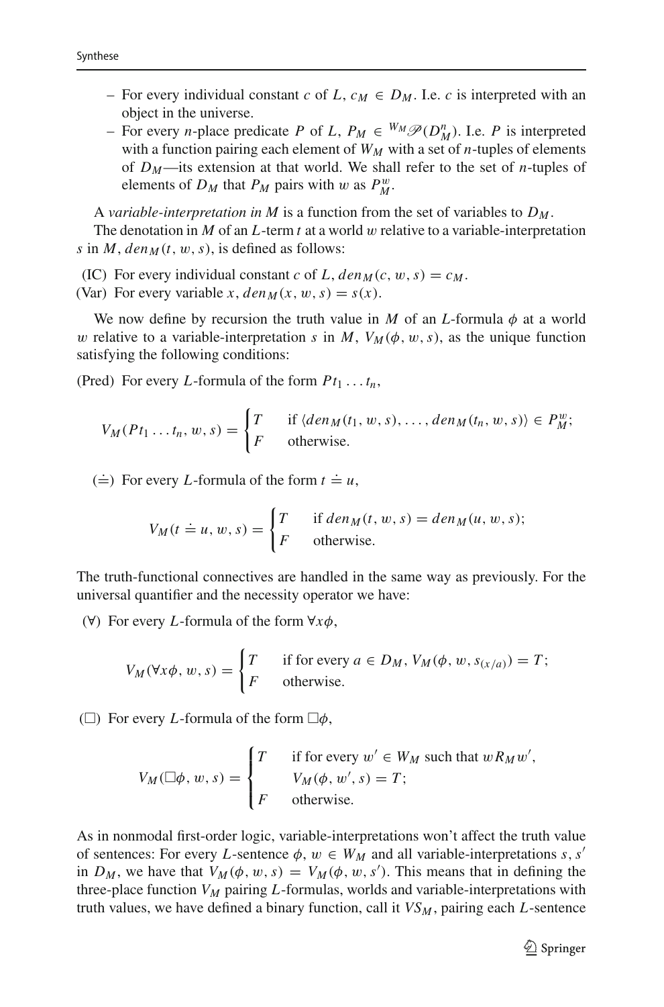- For every individual constant *c* of *L*,  $c_M \in D_M$ . I.e. *c* is interpreted with an object in the universe.
- − For every *n*-place predicate *P* of *L*,  $P_M \text{ ∈ } {}^{W_M} \mathcal{P}(D_M^n)$ . I.e. *P* is interpreted with a function pairing each element of  $W_M$  with a set of *n*-tuples of elements of *DM*—its extension at that world. We shall refer to the set of *n*-tuples of elements of  $D_M$  that  $P_M$  pairs with w as  $P_M^w$ .

A *variable-interpretation in M* is a function from the set of variables to *DM* .

The denotation in *M* of an *L*-term *t* at a world w relative to a variable-interpretation *s* in *M*,  $den_M(t, w, s)$ , is defined as follows:

(IC) For every individual constant *c* of *L*,  $den_M(c, w, s) = c_M$ .

(Var) For every variable *x*,  $den_M(x, w, s) = s(x)$ .

We now define by recursion the truth value in *M* of an *L*-formula  $\phi$  at a world w relative to a variable-interpretation *s* in *M*,  $V_M(\phi, w, s)$ , as the unique function satisfying the following conditions:

(Pred) For every *L*-formula of the form  $Pt_1 \ldots t_n$ ,

$$
V_M(Pt_1 \dots t_n, w, s) = \begin{cases} T & \text{if } \langle \text{den}_M(t_1, w, s), \dots, \text{den}_M(t_n, w, s) \rangle \in P_M^w; \\ F & \text{otherwise.} \end{cases}
$$

 $(\dot{=} )$  For every *L*-formula of the form  $t \dot{=} u$ ,

$$
V_M(t \doteq u, w, s) = \begin{cases} T & \text{if } \text{den}_M(t, w, s) = \text{den}_M(u, w, s); \\ F & \text{otherwise.} \end{cases}
$$

The truth-functional connectives are handled in the same way as previously. For the universal quantifier and the necessity operator we have:

(∀) For every *L*-formula of the form ∀*x*φ,

$$
V_M(\forall x \phi, w, s) = \begin{cases} T & \text{if for every } a \in D_M, V_M(\phi, w, s_{(x/a)}) = T; \\ F & \text{otherwise.} \end{cases}
$$

( $\Box$ ) For every *L*-formula of the form  $\Box \phi$ ,

$$
V_M(\Box \phi, w, s) = \begin{cases} T & \text{if for every } w' \in W_M \text{ such that } wR_M w', \\ V_M(\phi, w', s) = T; \\ F & \text{otherwise.} \end{cases}
$$

As in nonmodal first-order logic, variable-interpretations won't affect the truth value of sentences: For every *L*-sentence  $\phi$ ,  $w \in W_M$  and all variable-interpretations *s*, *s'* in  $D_M$ , we have that  $V_M(\phi, w, s) = V_M(\phi, w, s')$ . This means that in defining the three-place function  $V_M$  pairing *L*-formulas, worlds and variable-interpretations with truth values, we have defined a binary function, call it *VSM* , pairing each *L*-sentence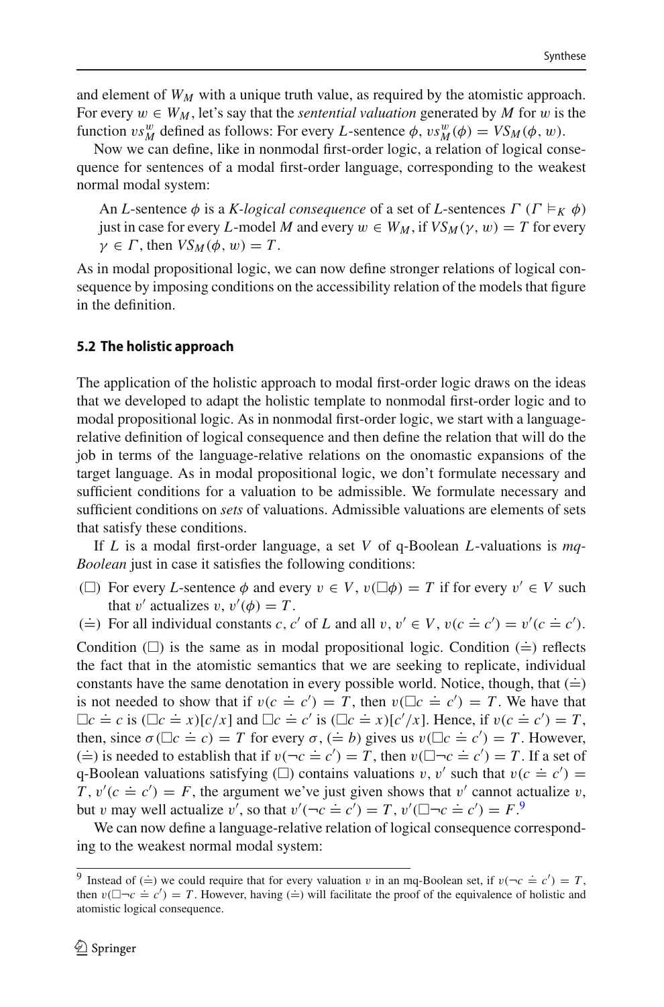and element of  $W_M$  with a unique truth value, as required by the atomistic approach. For every  $w \in W_M$ , let's say that the *sentential valuation* generated by M for w is the function  $vs_M^w$  defined as follows: For every *L*-sentence  $\phi$ ,  $vs_M^w(\phi) = VS_M(\phi, w)$ .

Now we can define, like in nonmodal first-order logic, a relation of logical consequence for sentences of a modal first-order language, corresponding to the weakest normal modal system:

An *L*-sentence  $\phi$  is a *K*-*logical consequence* of a set of *L*-sentences  $\Gamma$  ( $\Gamma \vDash_K \phi$ ) just in case for every *L*-model *M* and every  $w \in W_M$ , if  $VS_M(\gamma, w) = T$  for every  $\gamma \in \Gamma$ , then  $VS_M(\phi, w) = T$ .

As in modal propositional logic, we can now define stronger relations of logical consequence by imposing conditions on the accessibility relation of the models that figure in the definition.

### **5.2 The holistic approach**

The application of the holistic approach to modal first-order logic draws on the ideas that we developed to adapt the holistic template to nonmodal first-order logic and to modal propositional logic. As in nonmodal first-order logic, we start with a languagerelative definition of logical consequence and then define the relation that will do the job in terms of the language-relative relations on the onomastic expansions of the target language. As in modal propositional logic, we don't formulate necessary and sufficient conditions for a valuation to be admissible. We formulate necessary and sufficient conditions on *sets* of valuations. Admissible valuations are elements of sets that satisfy these conditions.

If *L* is a modal first-order language, a set *V* of q-Boolean *L*-valuations is *mq-Boolean* just in case it satisfies the following conditions:

( $\square$ ) For every *L*-sentence  $\phi$  and every  $v \in V$ ,  $v(\square \phi) = T$  if for every  $v' \in V$  such that v' actualizes v,  $v'(\phi) = T$ .

( $\Rightarrow$ ) For all individual constants *c*, *c'* of *L* and all *v*, *v'*  $\in$  *V*, *v*( $c \stackrel{.}{=} c'$ ) = *v'*( $c \stackrel{.}{=} c'$ ).

Condition  $(\square)$  is the same as in modal propositional logic. Condition  $(\doteq)$  reflects the fact that in the atomistic semantics that we are seeking to replicate, individual constants have the same denotation in every possible world. Notice, though, that  $( = )$ is not needed to show that if  $v(c \doteq c') = T$ , then  $v(\Box c \doteq c') = T$ . We have that  $\Box c \doteq c$  is  $(\Box c \doteq x)[c/x]$  and  $\Box c \doteq c'$  is  $(\Box c \doteq x)[c'/x]$ . Hence, if  $v(c \doteq c') = T$ , then, since  $\sigma(\Box c \doteq c) = T$  for every  $\sigma$ ,  $(\doteq b)$  gives us  $v(\Box c \doteq c') = T$ . However, ( $\equiv$ ) is needed to establish that if  $v(\neg c \equiv c') = T$ , then  $v(\Box \neg c \equiv c') = T$ . If a set of q-Boolean valuations satisfying  $(\Box)$  contains valuations v, v' such that  $v(c = c') =$ *T*,  $v'(c \doteq c') = F$ , the argument we've just given shows that  $v'$  cannot actualize v, but v may well actualize v', so that  $v'(-c \doteq c') = T$ ,  $v'(\Box \neg c \doteq c') = F$ .<sup>[9](#page-13-0)</sup>

We can now define a language-relative relation of logical consequence corresponding to the weakest normal modal system:

<span id="page-13-0"></span><sup>&</sup>lt;sup>9</sup> Instead of (=) we could require that for every valuation v in an mq-Boolean set, if  $v(\neg c \doteq c') = T$ , then  $v(\Box \neg c \doteq c') = T$ . However, having ( $\doteq$ ) will facilitate the proof of the equivalence of holistic and  $v(\Box \neg c \doteq c') = T$ . However, having ( $\doteq$ ) will facilitate the proof of the equivalence of holistic and atomistic logical consequence.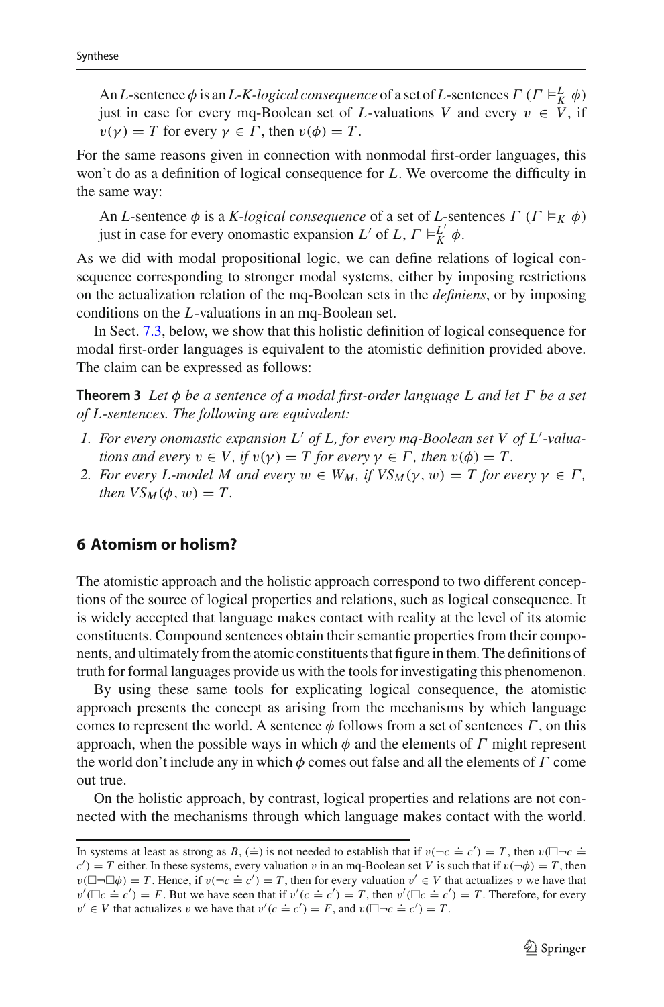An *L*-sentence  $\phi$  is an *L-K-logical consequence* of a set of *L*-sentences  $\Gamma$  ( $\Gamma \vDash^L_K \phi$ ) just in case for every mq-Boolean set of *L*-valuations *V* and every  $v \in V$ , if  $v(\gamma) = T$  for every  $\gamma \in \Gamma$ , then  $v(\phi) = T$ .

For the same reasons given in connection with nonmodal first-order languages, this won't do as a definition of logical consequence for *L*. We overcome the difficulty in the same way:

An *L*-sentence  $\phi$  is a *K*-logical consequence of a set of *L*-sentences  $\Gamma$  ( $\Gamma \vDash_K \phi$ ) just in case for every onomastic expansion *L'* of *L*,  $\Gamma \models_K^L \phi$ .

As we did with modal propositional logic, we can define relations of logical consequence corresponding to stronger modal systems, either by imposing restrictions on the actualization relation of the mq-Boolean sets in the *definiens*, or by imposing conditions on the *L*-valuations in an mq-Boolean set.

In Sect. [7.3,](#page-21-0) below, we show that this holistic definition of logical consequence for modal first-order languages is equivalent to the atomistic definition provided above. The claim can be expressed as follows:

<span id="page-14-1"></span>**Theorem 3** *Let* φ *be a sentence of a modal first-order language L and let* Γ *be a set of L-sentences. The following are equivalent:*

- *1. For every onomastic expansion L of L, for every mq-Boolean set V of L -valuations and every*  $v \in V$ *, if*  $v(\gamma) = T$  *for every*  $\gamma \in \Gamma$ *, then*  $v(\phi) = T$ *.*
- *2. For every L-model M and every*  $w \in W_M$ , if  $VS_M(\gamma, w) = T$  for every  $\gamma \in \Gamma$ , *then*  $VS_M(\phi, w) = T$ .

## <span id="page-14-0"></span>**6 Atomism or holism?**

The atomistic approach and the holistic approach correspond to two different conceptions of the source of logical properties and relations, such as logical consequence. It is widely accepted that language makes contact with reality at the level of its atomic constituents. Compound sentences obtain their semantic properties from their components, and ultimately from the atomic constituents that figure in them. The definitions of truth for formal languages provide us with the tools for investigating this phenomenon.

By using these same tools for explicating logical consequence, the atomistic approach presents the concept as arising from the mechanisms by which language comes to represent the world. A sentence  $\phi$  follows from a set of sentences  $\Gamma$ , on this approach, when the possible ways in which  $\phi$  and the elements of  $\Gamma$  might represent the world don't include any in which  $\phi$  comes out false and all the elements of  $\Gamma$  come out true.

On the holistic approach, by contrast, logical properties and relations are not connected with the mechanisms through which language makes contact with the world.

In systems at least as strong as *B*, ( $\equiv$ ) is not needed to establish that if  $v(\neg c \equiv c') = T$ , then  $v(\Box \neg c \equiv c')$ .  $c' = T$  either. In these systems, every valuation v in an mq-Boolean set *V* is such that if  $v(\neg \phi) = T$ , then  $v(\Box \neg \Box \phi) = T$ . Hence, if  $v(\neg c = c') = T$ , then for every valuation  $v' \in V$  that actualizes v we have that  $v(\Box \neg \Box \phi) = T$ . Hence, if  $v(\neg c = c') = T$ , then for every valuation  $v' \in V$  that actualizes v we have that  $v'(\Box c \equiv c') = F$ . But we have seen that if  $v'(c \equiv c') = T$ , then  $v'(\Box c \equiv c') = T$ . Therefore, for every  $v' \in V$  that actualizes v we have that  $v'(c = c') = F$ , and  $v(\Box \neg c \doteq c') = T$ .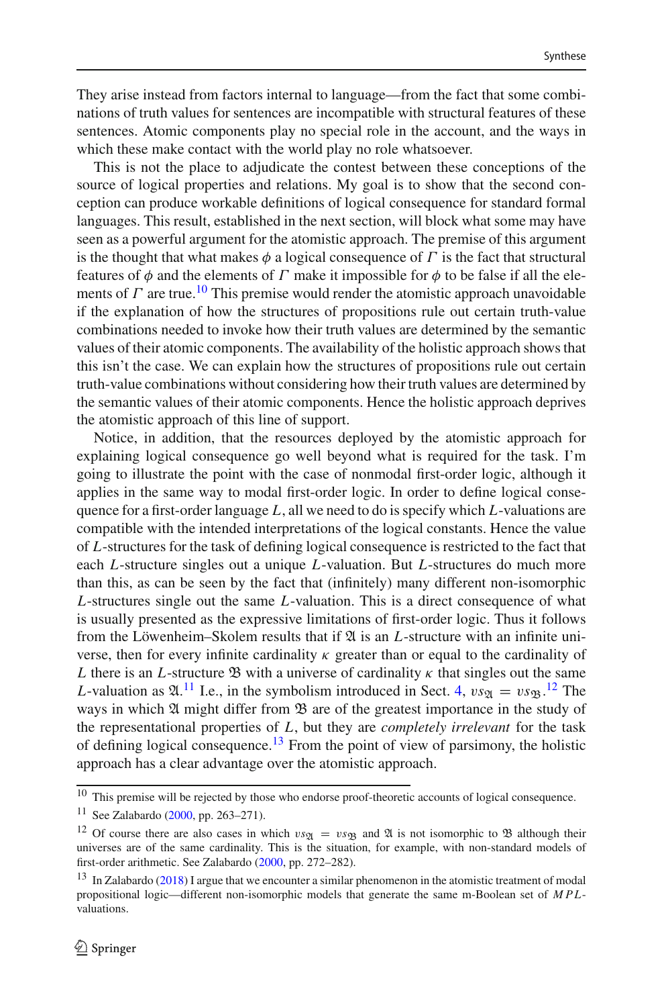They arise instead from factors internal to language—from the fact that some combinations of truth values for sentences are incompatible with structural features of these sentences. Atomic components play no special role in the account, and the ways in which these make contact with the world play no role whatsoever.

This is not the place to adjudicate the contest between these conceptions of the source of logical properties and relations. My goal is to show that the second conception can produce workable definitions of logical consequence for standard formal languages. This result, established in the next section, will block what some may have seen as a powerful argument for the atomistic approach. The premise of this argument is the thought that what makes  $\phi$  a logical consequence of  $\Gamma$  is the fact that structural features of  $\phi$  and the elements of  $\Gamma$  make it impossible for  $\phi$  to be false if all the elements of  $\Gamma$  are true.<sup>[10](#page-15-0)</sup> This premise would render the atomistic approach unavoidable if the explanation of how the structures of propositions rule out certain truth-value combinations needed to invoke how their truth values are determined by the semantic values of their atomic components. The availability of the holistic approach shows that this isn't the case. We can explain how the structures of propositions rule out certain truth-value combinations without considering how their truth values are determined by the semantic values of their atomic components. Hence the holistic approach deprives the atomistic approach of this line of support.

Notice, in addition, that the resources deployed by the atomistic approach for explaining logical consequence go well beyond what is required for the task. I'm going to illustrate the point with the case of nonmodal first-order logic, although it applies in the same way to modal first-order logic. In order to define logical consequence for a first-order language *L*, all we need to do is specify which *L*-valuations are compatible with the intended interpretations of the logical constants. Hence the value of *L*-structures for the task of defining logical consequence is restricted to the fact that each *L*-structure singles out a unique *L*-valuation. But *L*-structures do much more than this, as can be seen by the fact that (infinitely) many different non-isomorphic *L*-structures single out the same *L*-valuation. This is a direct consequence of what is usually presented as the expressive limitations of first-order logic. Thus it follows from the Löwenheim–Skolem results that if A is an *L*-structure with an infinite universe, then for every infinite cardinality  $\kappa$  greater than or equal to the cardinality of *L* there is an *L*-structure  $\mathfrak{B}$  with a universe of cardinality  $\kappa$  that singles out the same *L*-valuation as  $\mathfrak{A}^{11}$  $\mathfrak{A}^{11}$  $\mathfrak{A}^{11}$  I.e., in the symbolism introduced in Sect. [4,](#page-7-0)  $v s_{\mathfrak{A}} = v s_{\mathfrak{B}}$ .<sup>[12](#page-15-2)</sup> The ways in which  $\mathfrak A$  might differ from  $\mathfrak B$  are of the greatest importance in the study of the representational properties of *L*, but they are *completely irrelevant* for the task of defining logical consequence.<sup>13</sup> From the point of view of parsimony, the holistic approach has a clear advantage over the atomistic approach.

 $10$  This premise will be rejected by those who endorse proof-theoretic accounts of logical consequence.

<span id="page-15-0"></span><sup>&</sup>lt;sup>11</sup> See Zalabardo [\(2000,](#page-27-10) pp. 263–271).

<span id="page-15-2"></span><span id="page-15-1"></span><sup>&</sup>lt;sup>12</sup> Of course there are also cases in which  $vs_{\mathfrak{A}} = vs_{\mathfrak{B}}$  and  $\mathfrak{A}$  is not isomorphic to  $\mathfrak{B}$  although their universes are of the same cardinality. This is the situation, for example, with non-standard models of first-order arithmetic. See Zalabardo [\(2000](#page-27-10), pp. 272–282).

<span id="page-15-3"></span><sup>&</sup>lt;sup>13</sup> In Zalabard[o](#page-27-1) [\(2018\)](#page-27-1) I argue that we encounter a similar phenomenon in the atomistic treatment of modal propositional logic—different non-isomorphic models that generate the same m-Boolean set of *MPL*valuations.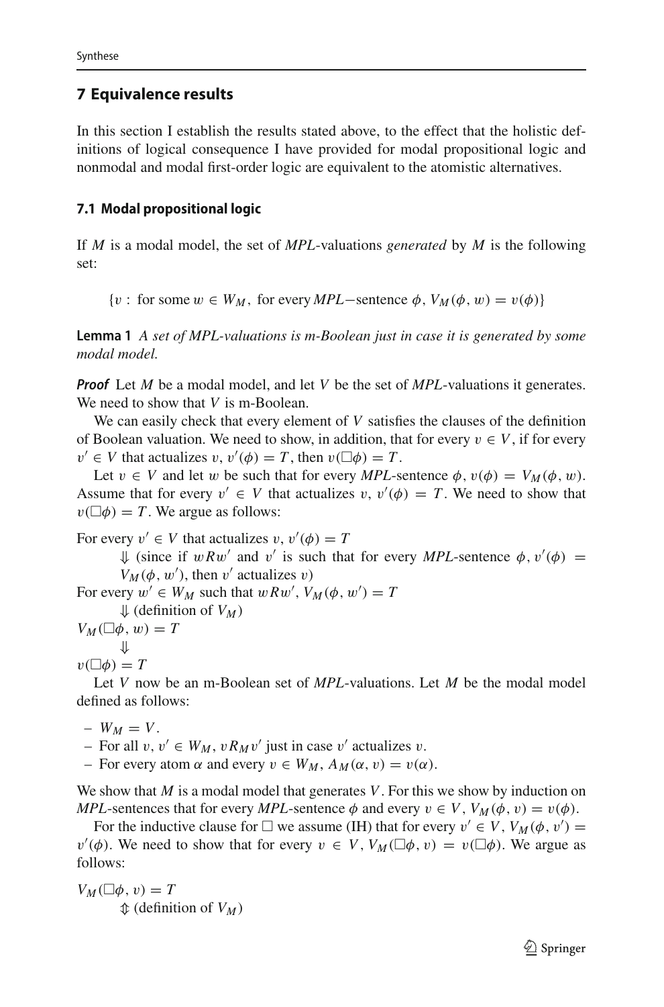# <span id="page-16-0"></span>**7 Equivalence results**

In this section I establish the results stated above, to the effect that the holistic definitions of logical consequence I have provided for modal propositional logic and nonmodal and modal first-order logic are equivalent to the atomistic alternatives.

## <span id="page-16-1"></span>**7.1 Modal propositional logic**

If *M* is a modal model, the set of *MPL*-valuations *generated* by *M* is the following set:

{v : for some  $w \in W_M$ , for every *MPL*−sentence  $\phi$ ,  $V_M(\phi, w) = v(\phi)$ }

<span id="page-16-2"></span>**Lemma 1** *A set of MPL-valuations is m-Boolean just in case it is generated by some modal model.*

*Proof* Let *M* be a modal model, and let *V* be the set of *MPL*-valuations it generates. We need to show that *V* is m-Boolean.

We can easily check that every element of *V* satisfies the clauses of the definition of Boolean valuation. We need to show, in addition, that for every  $v \in V$ , if for every  $v' \in V$  that actualizes  $v, v'(\phi) = T$ , then  $v(\Box \phi) = T$ .

Let  $v \in V$  and let w be such that for every *MPL*-sentence  $\phi$ ,  $v(\phi) = V_M(\phi, w)$ . Assume that for every  $v' \in V$  that actualizes  $v, v'(\phi) = T$ . We need to show that  $v(\Box \phi) = T$ . We argue as follows:

For every  $v' \in V$  that actualizes  $v, v'(\phi) = T$  $\downarrow$  (since if  $wRw'$  and v' is such that for every *MPL*-sentence  $\phi$ ,  $v'(\phi)$  =  $V_M(\phi, w')$ , then v' actualizes v) For every  $w' \in W_M$  such that  $w R w'$ ,  $V_M(\phi, w') = T$ 

 $\downarrow$  (definition of  $V_M$ )

 $V_M(\Box \phi, w) = T$ ⇓

 $v(\Box \phi) = T$ 

Let *V* now be an m-Boolean set of *MPL*-valuations. Let *M* be the modal model defined as follows:

- $-W_M = V$ .
- For all  $v, v' \in W_M$ ,  $vR_Mv'$  just in case v' actualizes v.
- For every atom α and every  $v ∈ W_M$ ,  $A_M(α, v) = v(α)$ .

We show that *M* is a modal model that generates *V*. For this we show by induction on *MPL*-sentences that for every *MPL*-sentence  $\phi$  and every  $v \in V$ ,  $V_M(\phi, v) = v(\phi)$ .

For the inductive clause for  $\square$  we assume (IH) that for every  $v' \in V$ ,  $V_M(\phi, v') =$  $v'(\phi)$ . We need to show that for every  $v \in V$ ,  $V_M(\Box \phi, v) = v(\Box \phi)$ . We argue as follows:

 $V_M(\Box \phi, v) = T$  $\oint$  (definition of  $V_M$ )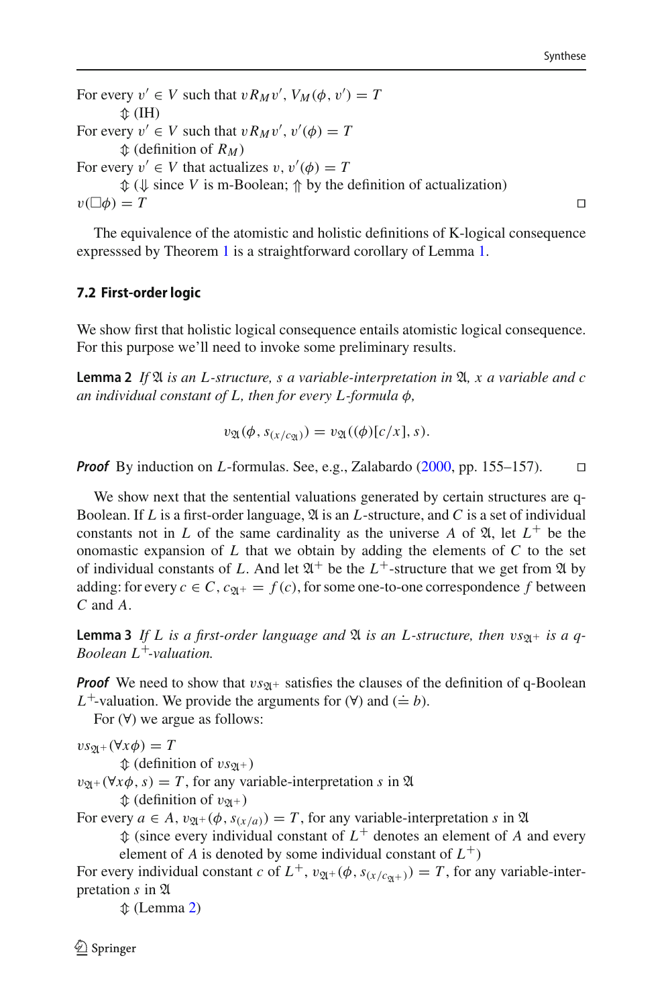For every  $v' \in V$  such that  $vR_Mv'$ ,  $V_M(\phi, v') = T$  $\mathcal{L}$  (IH) For every  $v' \in V$  such that  $v R_M v'$ ,  $v'(\phi) = T$  $\oint$  (definition of  $R_M$ ) For every  $v' \in V$  that actualizes  $v, v'(\phi) = T$  $\oint (\Downarrow \text{ since } V \text{ is m-Boolean}; \Uparrow \text{ by the definition of actualization})$ <br> $v(\Box \phi) = T$  $v(\Box \phi) = T$ 

The equivalence of the atomistic and holistic definitions of K-logical consequence expresssed by Theorem [1](#page-7-1) is a straightforward corollary of Lemma [1.](#page-16-2)

### <span id="page-17-0"></span>**7.2 First-order logic**

<span id="page-17-1"></span>We show first that holistic logical consequence entails atomistic logical consequence. For this purpose we'll need to invoke some preliminary results.

**Lemma 2** If  $\mathfrak{A}$  *is an L-structure, s a variable-interpretation in*  $\mathfrak{A}$ *, x a variable and c an individual constant of L, then for every L-formula* φ*,*

$$
v_{\mathfrak{A}}(\phi, s_{(x/c_{\mathfrak{A}})}) = v_{\mathfrak{A}}((\phi)[c/x], s).
$$

*Proof* By induction on *<sup>L</sup>*-formulas. See, e.g., Zalabardo [\(2000,](#page-27-10) pp. 155–157).

We show next that the sentential valuations generated by certain structures are q-Boolean. If *L* is a first-order language,  $\mathfrak A$  is an *L*-structure, and *C* is a set of individual constants not in *L* of the same cardinality as the universe *A* of  $\mathfrak{A}$ , let  $L^+$  be the onomastic expansion of *L* that we obtain by adding the elements of *C* to the set of individual constants of L. And let  $\mathfrak{A}^+$  be the L<sup>+</sup>-structure that we get from  $\mathfrak A$  by adding: for every  $c \in C$ ,  $c_{\mathfrak{A}^+} = f(c)$ , for some one-to-one correspondence f between *C* and *A*.

<span id="page-17-2"></span>**Lemma 3** If L is a first-order language and  $\mathfrak A$  is an L-structure, then  $v s_{\mathfrak A^+}$  is a q-*Boolean L*+*-valuation.*

*Proof* We need to show that  $vs_{21}$ + satisfies the clauses of the definition of q-Boolean *L*<sup>+</sup>-valuation. We provide the arguments for ( $\forall$ ) and ( $\equiv b$ ).

For (∀) we argue as follows:

 $v s_{\mathfrak{A}^+} (\forall x \phi) = T$  $\oint$  (definition of  $v s_{\mathfrak{A}^+}$ )  $v_{\mathfrak{A}}$ + ( $\forall x \phi, s$ ) = T, for any variable-interpretation *s* in  $\mathfrak{A}$  $\hat{\Phi}$  (definition of  $v_{\mathfrak{N}+}$ )

For every  $a \in A$ ,  $v_{\mathfrak{A}^+}(\phi, s_{(x/a)}) = T$ , for any variable-interpretation *s* in  $\mathfrak{A}$ 

 $\oint$  (since every individual constant of  $L^+$  denotes an element of *A* and every element of *A* is denoted by some individual constant of  $L^+$ )

For every individual constant *c* of  $L^+$ ,  $v_{\mathfrak{A}^+}(\phi, s_{(x/c_{\alpha+})}) = T$ , for any variable-interpretation *s* in A

(Lemma [2\)](#page-17-1)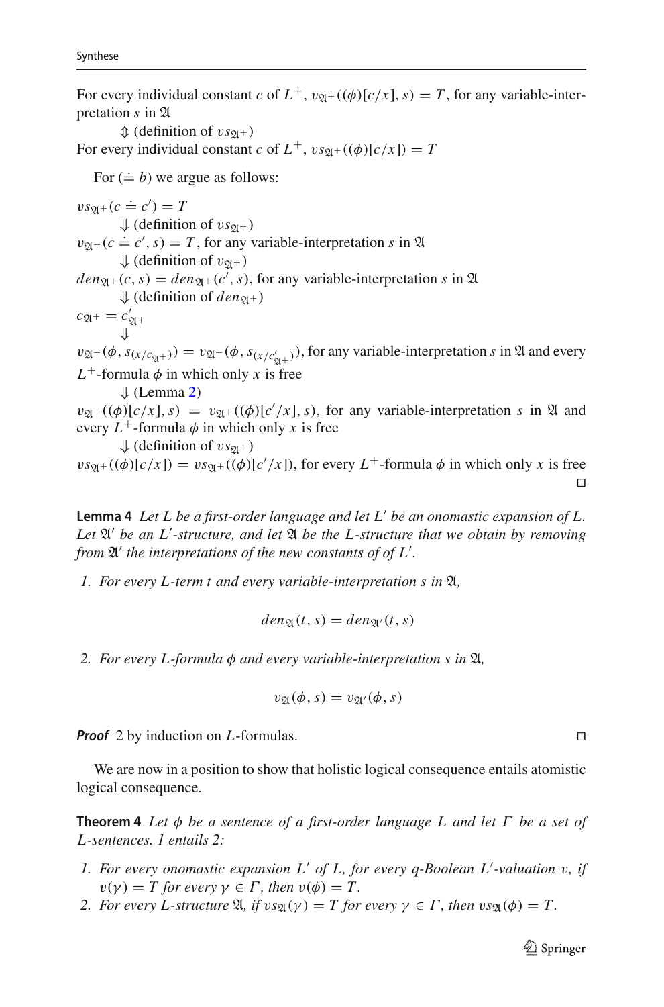For every individual constant *c* of  $L^+$ ,  $v_{\mathfrak{A}^+}((\phi)[c/x], s) = T$ , for any variable-interpretation *s* in A  $\oint$  (definition of  $v s_{\mathfrak{A}+}$ ) For every individual constant *c* of  $L^+$ ,  $v s_{\mathfrak{A}^+}((\phi)[c/x]) = T$ For  $(\doteq b)$  we argue as follows:  $\iota v s_{\mathfrak{A}^+}(c \doteq c') = T$  $\downarrow$  (definition of  $v s_{\mathfrak{R}+}$ )  $v_{\mathfrak{A}^+}(c \doteq c', s) = T$ , for any variable-interpretation *s* in  $\mathfrak{A}$  $\Downarrow$  (definition of  $v_{\mathcal{D}(+)}$ )  $den_{\mathfrak{A}^+}(c, s) = den_{\mathfrak{A}^+}(c', s)$ , for any variable-interpretation *s* in  $\mathfrak A$  $\Downarrow$  (definition of *den*<sub>21+</sub>)  $c_{\mathfrak{A}^+} = c'_{\mathfrak{A}^+}$ ⇓  $v_{\mathfrak{A}^+}(\phi, s_{(x/c_{\mathfrak{A}^+})}) = v_{\mathfrak{A}^+}(\phi, s_{(x/c'_{\mathfrak{A}^+})})$ , for any variable-interpretation *s* in  $\mathfrak A$  and every  $L^+$ -formula  $\phi$  in which only *x* is free ⇓ (Lemma [2\)](#page-17-1)  $v_{\mathfrak{A}^+}((\phi)[c/x], s) = v_{\mathfrak{A}^+}((\phi)[c'/x], s)$ , for any variable-interpretation *s* in  $\mathfrak A$  and every  $L^+$ -formula  $\phi$  in which only x is free  $\Downarrow$  (definition of  $v s_{\mathfrak{A}^+}$ )  $vs_{\mathfrak{A}^+}((\phi)[c/x]) = vs_{\mathfrak{A}^+}((\phi)[c'/x])$ , for every  $L^+$ -formula  $\phi$  in which only *x* is free  $\Box$ 

<span id="page-18-0"></span>**Lemma 4** *Let L be a first-order language and let L be an onomastic expansion of L.* Let  $\mathfrak{A}'$  be an L'-structure, and let  $\mathfrak A$  be the L-structure that we obtain by removing *from*  $\mathfrak{A}'$  *the interpretations of the new constants of of*  $L'$ *.* 

*1. For every L-term t and every variable-interpretation s in* A*,*

$$
den_{\mathfrak{A}}(t,s)=den_{\mathfrak{A}'}(t,s)
$$

*2. For every L-formula* φ *and every variable-interpretation s in* A*,*

$$
v_{\mathfrak{A}}(\phi,s)=v_{\mathfrak{A}'}(\phi,s)
$$

*Proof* 2 by induction on *L*-formulas. □

<span id="page-18-1"></span>We are now in a position to show that holistic logical consequence entails atomistic logical consequence.

**Theorem 4** *Let* φ *be a sentence of a first-order language L and let* Γ *be a set of L-sentences. 1 entails 2:*

- *1. For every onomastic expansion* L' of L, for every q-Boolean L'-valuation v, if  $v(\gamma) = T$  for every  $\gamma \in \Gamma$ , then  $v(\phi) = T$ .
- *2. For every L-structure*  $\mathfrak{A}$ *, if*  $vs_{\mathfrak{A}}(\gamma) = T$  *for every*  $\gamma \in \Gamma$ *, then*  $vs_{\mathfrak{A}}(\phi) = T$ *.*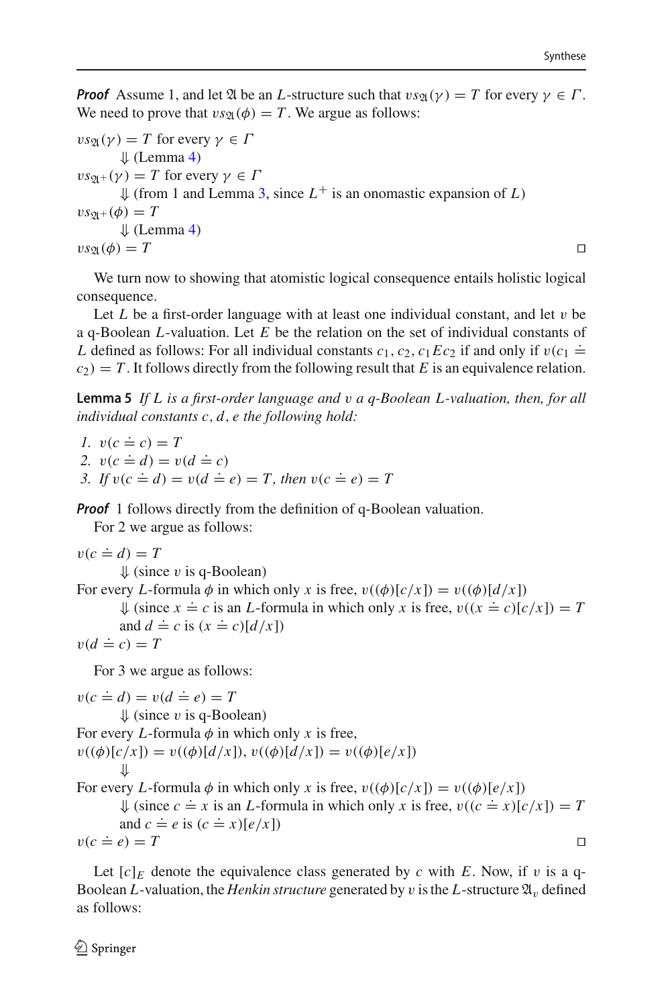*Proof* Assume 1, and let  $\mathfrak A$  be an *L*-structure such that  $v s_{\mathfrak A}(\gamma) = T$  for every  $\gamma \in \Gamma$ . We need to prove that  $v s_{\mathfrak{A}}(\phi) = T$ . We argue as follows:

 $vs<sub>9</sub>(\nu) = T$  for every  $\nu \in \Gamma$ ⇓ (Lemma [4\)](#page-18-0)  $vs_{\mathcal{D}+}(\gamma) = T$  for every  $\gamma \in \Gamma$  $\downarrow$  (from 1 and Lemma [3,](#page-17-2) since  $L^+$  is an onomastic expansion of *L*)  $vs_{\mathcal{D}+}(\phi) = T$  $\Downarrow$  (Lemma [4\)](#page-18-0)<br>  $vs_{\mathfrak{A}}(\phi) = T$  $v s_{\mathfrak{A}}(\phi) = T$ 

We turn now to showing that atomistic logical consequence entails holistic logical consequence.

Let *L* be a first-order language with at least one individual constant, and let v be a q-Boolean *L*-valuation. Let *E* be the relation on the set of individual constants of *L* defined as follows: For all individual constants  $c_1$ ,  $c_2$ ,  $c_1Ec_2$  if and only if  $v(c_1 \doteq c_2)$  $c_2$ ) = *T*. It follows directly from the following result that *E* is an equivalence relation.

**Lemma 5** *If L is a first-order language and* v *a q-Boolean L-valuation, then, for all individual constants c*, *d*, *e the following hold:*

*1.*  $v(c \doteq c) = T$ 2.  $v(c = c) = 1$ <br>2.  $v(c = d) = v(d = c)$ 3. If  $v(c = d) = v(d = e) = T$ , then  $v(c = e) = T$ 

*Proof* 1 follows directly from the definition of q-Boolean valuation.

For 2 we argue as follows:

 $v(c \doteq d) = T$  $\Downarrow$  (since v is q-Boolean) For every *L*-formula  $\phi$  in which only *x* is free,  $v((\phi)[c/x]) = v((\phi)[d/x])$  $\downarrow$  (since  $x \doteq c$  is an *L*-formula in which only *x* is free,  $v((x \doteq c)[c/x]) = T$ and  $d \doteq c$  is  $(x \doteq c)[d/x]$  $v(d \doteq c) = T$ 

For 3 we argue as follows:

 $e^{i\theta}$   $e^{i\theta}$   $e^{i\theta}$ 

$$
v(c \doteq d) = v(d \doteq e) = T
$$
  
\n
$$
\Downarrow \text{ (since } v \text{ is q-Boolean)}
$$
  
\nFor every *L*-formula  $\phi$  in which only *x* is free,  
\n
$$
v((\phi)[c/x]) = v((\phi)[d/x]), v((\phi)[d/x]) = v((\phi)[e/x])
$$
  
\n
$$
\Downarrow
$$
  
\nFor every *L*-formula  $\phi$  in which only *x* is free,  $v((\phi)[c/x]) = v((\phi)[e/x])$   
\n
$$
\Downarrow \text{ (since } c \doteq x \text{ is an } L\text{-formula in which only } x \text{ is free, } v((c \doteq x)[c/x]) = T
$$
  
\nand  $c \doteq e \text{ is } (c \doteq x)[e/x])$   
\n
$$
v(c \doteq e) = T
$$

Let  $[c]_E$  denote the equivalence class generated by *c* with *E*. Now, if *v* is a q-Boolean *L*-valuation, the *Henkin structure* generated by v is the *L*-structure  $\mathfrak{A}_v$  defined as follows: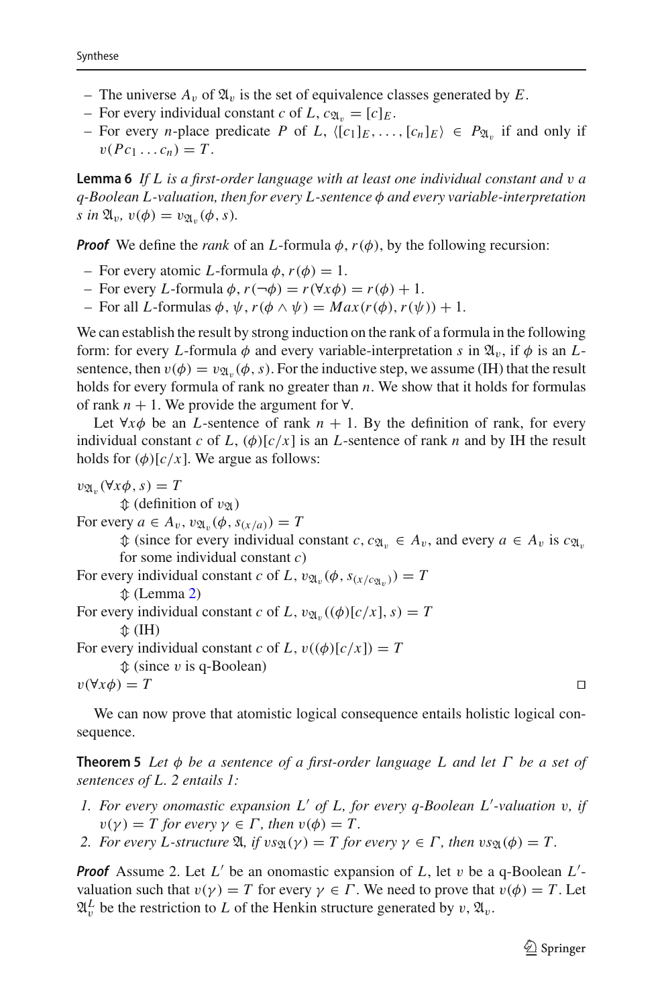- The universe  $A_v$  of  $\mathfrak{A}_v$  is the set of equivalence classes generated by E.
- For every individual constant *c* of *L*,  $c_{\mathfrak{A}_v} = [c]_E$ .
- For every *n*-place predicate *P* of *L*,  $\langle [c_1]_E, \ldots, [c_n]_E \rangle \in P_{\mathfrak{A}_n}$  if and only if  $v(Pc_1... c_n) = T.$

<span id="page-20-0"></span>**Lemma 6** *If L is a first-order language with at least one individual constant and* v *a q-Boolean L-valuation, then for every L-sentence* φ *and every variable-interpretation s* in  $\mathfrak{A}_v$ ,  $v(\phi) = v_{\mathfrak{A}_v}(\phi, s)$ .

*Proof* We define the *rank* of an *L*-formula  $\phi$ ,  $r(\phi)$ , by the following recursion:

- For every atomic *L*-formula  $\phi$ ,  $r(\phi) = 1$ .
- For every *L*-formula φ, *r*(¬φ) = *r*(∀*x*φ) = *r*(φ) + 1.
- $\vdash$  For all *L*-formulas  $\phi$ ,  $\psi$ ,  $r(\phi \land \psi) = Max(r(\phi), r(\psi)) + 1$ .

We can establish the result by strong induction on the rank of a formula in the following form: for every *L*-formula  $\phi$  and every variable-interpretation *s* in  $\mathfrak{A}_v$ , if  $\phi$  is an *L*sentence, then  $v(\phi) = v_{\mathfrak{A}_v}(\phi, s)$ . For the inductive step, we assume (IH) that the result holds for every formula of rank no greater than *n*. We show that it holds for formulas of rank  $n + 1$ . We provide the argument for  $\forall$ .

Let  $\forall x \phi$  be an *L*-sentence of rank  $n + 1$ . By the definition of rank, for every individual constant *c* of *L*,  $(\phi)[c/x]$  is an *L*-sentence of rank *n* and by IH the result holds for  $(\phi)[c/x]$ . We argue as follows:

 $v_{\mathfrak{A}_v}(\forall x \phi, s) = T$  $\oint$  (definition of  $v_{\mathfrak{A}}$ ) For every  $a \in A_v$ ,  $v_{\mathfrak{A}_v}(\phi, s_{(x/a)}) = T$  $\oint$  (since for every individual constant *c*,  $c_{\mathfrak{A}_v} \in A_v$ , and every  $a \in A_v$  is  $c_{\mathfrak{A}_v}$ . for some individual constant *c*) For every individual constant *c* of *L*,  $v_{\mathfrak{A}_{v}}(\phi, s_{(x/c_{\mathfrak{A}_{v}})}) = T$  $\textcircled{t}$  (Lemma [2\)](#page-17-1) For every individual constant *c* of *L*,  $v_{\mathfrak{A}_{v}}((\phi)[c/x], s) = T$  $\oplus$  (IH) For every individual constant *c* of *L*,  $v((\phi)[c/x]) = T$  $\oint$  (since v is q-Boolean)  $v(\forall x \phi) = T$ 

<span id="page-20-1"></span>We can now prove that atomistic logical consequence entails holistic logical consequence.

**Theorem 5** *Let* φ *be a sentence of a first-order language L and let* Γ *be a set of sentences of L. 2 entails 1:*

- *1. For every onomastic expansion* L' of L, for every q-Boolean L'-valuation v, if  $v(\gamma) = T$  for every  $\gamma \in \Gamma$ , then  $v(\phi) = T$ .
- *2. For every L-structure*  $\mathfrak{A}$ *, if*  $vs_{\mathfrak{A}}(\gamma) = T$  *for every*  $\gamma \in \Gamma$ *, then*  $vs_{\mathfrak{A}}(\phi) = T$ *.*

*Proof* Assume 2. Let *L'* be an onomastic expansion of *L*, let *v* be a q-Boolean *L'*valuation such that  $v(\gamma) = T$  for every  $\gamma \in \Gamma$ . We need to prove that  $v(\phi) = T$ . Let  $\mathfrak{A}_{v}^{L}$  be the restriction to *L* of the Henkin structure generated by  $v, \mathfrak{A}_{v}$ .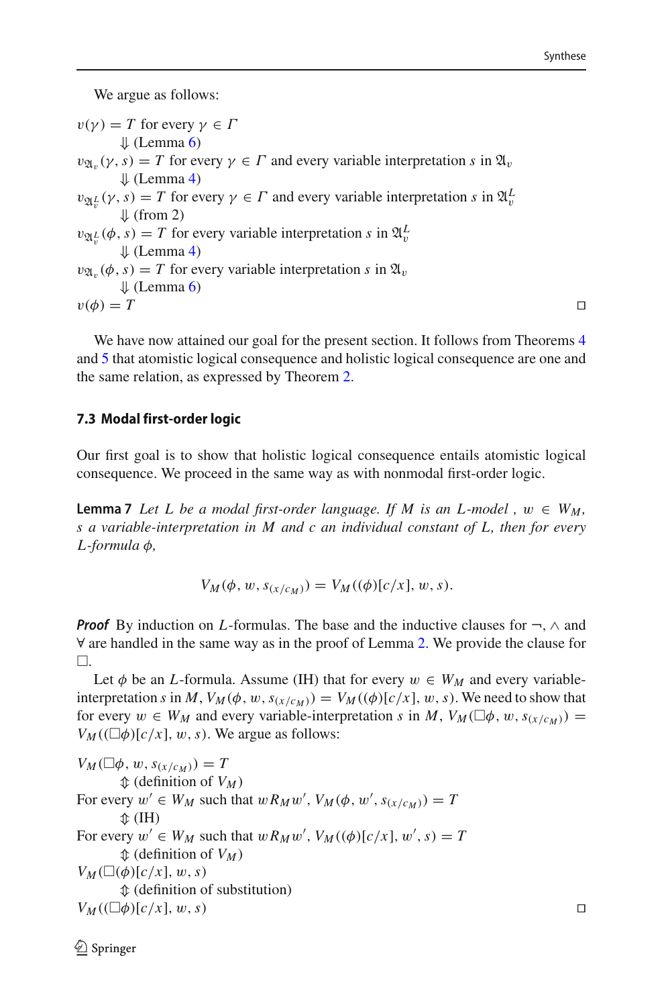We argue as follows:

 $v(\gamma) = T$  for every  $\gamma \in \Gamma$  $\downarrow$  (Lemma [6\)](#page-20-0)  $v_{\mathfrak{A}_{v}}(\gamma, s) = T$  for every  $\gamma \in \Gamma$  and every variable interpretation *s* in  $\mathfrak{A}_{v}$  $\downarrow$  (Lemma [4\)](#page-18-0)  $v_{\mathfrak{A}_{v}^{L}}(\gamma, s) = T$  for every  $\gamma \in \Gamma$  and every variable interpretation *s* in  $\mathfrak{A}_{v}^{L}$  $\downarrow$  (from 2)  $v_{\mathfrak{A}_{v}^{L}}(\phi, s) = T$  for every variable interpretation *s* in  $\mathfrak{A}_{v}^{L}$ ⇓ (Lemma [4\)](#page-18-0)  $v_{\mathfrak{N}_{n}}(\phi, s) = T$  for every variable interpretation *s* in  $\mathfrak{A}_{n}$  $\Downarrow$  (Lemma [6\)](#page-20-0)<br> $v(\phi) = T$  $v(\phi) = T$ 

We have now attained our goal for the present section. It follows from Theorems [4](#page-18-1) and [5](#page-20-1) that atomistic logical consequence and holistic logical consequence are one and the same relation, as expressed by Theorem [2.](#page-11-2)

### <span id="page-21-0"></span>**7.3 Modal first-order logic**

<span id="page-21-1"></span>Our first goal is to show that holistic logical consequence entails atomistic logical consequence. We proceed in the same way as with nonmodal first-order logic.

**Lemma 7** Let L be a modal first-order language. If M is an L-model,  $w \in W_M$ , *s a variable-interpretation in M and c an individual constant of L, then for every L-formula* φ*,*

$$
V_M(\phi, w, s_{(x/c_M)}) = V_M((\phi)[c/x], w, s).
$$

*Proof* By induction on *L*-formulas. The base and the inductive clauses for  $\neg$ , ∧ and ∀ are handled in the same way as in the proof of Lemma [2.](#page-17-1) We provide the clause for  $\Box$ .

Let  $\phi$  be an *L*-formula. Assume (IH) that for every  $w \in W_M$  and every variableinterpretation *s* in *M*,  $V_M(\phi, w, s_{(x/c_M)}) = V_M((\phi)[c/x], w, s)$ . We need to show that for every  $w \in W_M$  and every variable-interpretation *s* in *M*,  $V_M(\Box \phi, w, s_{(x/c_M)})$  =  $V_M((\Box \phi)[c/x], w, s)$ . We argue as follows:

 $V_M(\Box \phi, w, s_{(x/c_M)}) = T$  $\oint$  (definition of  $V_M$ ) For every  $w' \in W_M$  such that  $wR_Mw'$ ,  $V_M(\phi, w', s_{(x/c_M)}) = T$  $\mathcal{L}$  (IH) For every  $w' \in W_M$  such that  $wR_Mw'$ ,  $V_M((\phi)[c/x], w', s) = T$  $\oint$  (definition of  $V_M$ )  $V_M(\Box(\phi)[c/x], w, s)$  (definition of substitution)  $V_M((\Box \phi)[c/x], w, s)$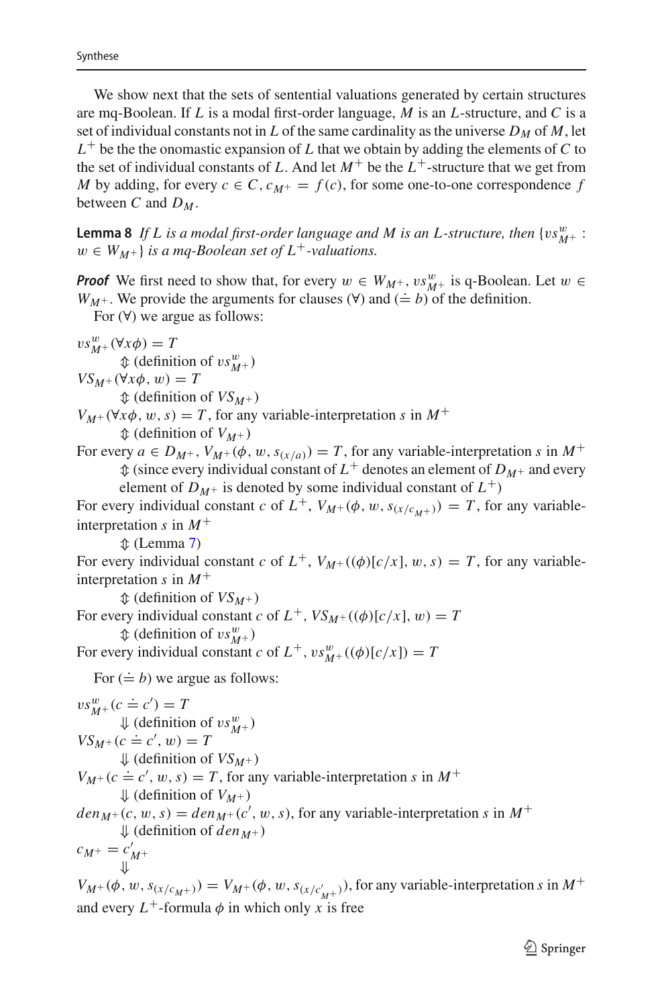We show next that the sets of sentential valuations generated by certain structures are mq-Boolean. If *L* is a modal first-order language, *M* is an *L*-structure, and *C* is a set of individual constants not in *L* of the same cardinality as the universe  $D_M$  of M, let  $L^+$  be the the onomastic expansion of L that we obtain by adding the elements of C to the set of individual constants of L. And let  $M^+$  be the  $L^+$ -structure that we get from *M* by adding, for every  $c \in C$ ,  $c_{M^+} = f(c)$ , for some one-to-one correspondence *f* between  $C$  and  $D_M$ .

<span id="page-22-0"></span>**Lemma 8** *If L is a modal first-order language and M is an L-structure, then*  $\{vs_{M+}^w$  :  $w \in W_{M^+}$  *is a mq-Boolean set of L<sup>+</sup>-valuations.* 

*Proof* We first need to show that, for every  $w \in W_{M^+}$ ,  $vs_{M^+}^w$  is q-Boolean. Let  $w \in W$ *W<sub>M</sub>*+. We provide the arguments for clauses ( $\forall$ ) and ( $\stackrel{?}{=}$  *b*) of the definition.

For  $(\forall)$  we argue as follows:

 $vs^w_{M^+}(\forall x \phi) = T$  $\oint (definition of vs<sup>w</sup><sub>M+</sub>)$  $VS_{M^+}(\forall x \phi, w) = T$  $\oint$  (definition of  $VS_{M+}$ )  $V_{M^+}(\forall x \phi, w, s) = T$ , for any variable-interpretation *s* in  $M^+$  $\oint$  (definition of  $V_{M+}$ ) For every  $a \in D_{M^+}$ ,  $V_{M^+}(\phi, w, s_{(x/a)}) = T$ , for any variable-interpretation *s* in  $M^+$  $\oint$  (since every individual constant of  $L^+$  denotes an element of  $D_{M^+}$  and every element of  $D_{M^+}$  is denoted by some individual constant of  $L^+$ )

For every individual constant *c* of  $L^+$ ,  $V_{M^+}(\phi, w, s_{(x/c_{M^+})}) = T$ , for any variableinterpretation *s* in *M*+

(Lemma [7\)](#page-21-1)

For every individual constant *c* of  $L^+$ ,  $V_{M^+}((\phi)[c/x], w, s) = T$ , for any variableinterpretation *s* in  $M^+$ 

 $\oint$  (definition of  $VS_{M+}$ )

For every individual constant *c* of  $L^+$ ,  $VS_{M^+}((\phi)[c/x], w) = T$ 

 $\oint$  (definition of  $vs^w_{M^+}$ )

For every individual constant *c* of  $L^+$ ,  $vs^w_{M^+}((\phi)[c/x]) = T$ 

For  $(\doteq b)$  we argue as follows:

$$
vs_{M+}^{w}(c \doteq c') = T
$$
  
\n
$$
\Downarrow (\text{definition of } vs_{M+}^{w})
$$
  
\n
$$
VS_{M+}(c \doteq c', w) = T
$$
  
\n
$$
\Downarrow (\text{definition of } VS_{M+})
$$
  
\n
$$
V_{M+}(c \doteq c', w, s) = T, \text{ for any variable-interpretation } s \text{ in } M^{+}
$$
  
\n
$$
\Downarrow (\text{definition of } V_{M+})
$$
  
\n
$$
den_{M} + (c, w, s) = den_{M+}(c', w, s), \text{ for any variable-interpretation } s \text{ in } M^{+}
$$
  
\n
$$
\Downarrow (\text{definition of } den_{M+})
$$
  
\n
$$
c_{M+} = c'_{M+}
$$
  
\n
$$
\Downarrow
$$

 $V_{M+}(\phi, w, s_{(x/c_{M+})}) = V_{M+}(\phi, w, s_{(x/c'_{M+})})$ , for any variable-interpretation *s* in  $M^{+}$ and every  $L^+$ -formula  $\phi$  in which only *x* is free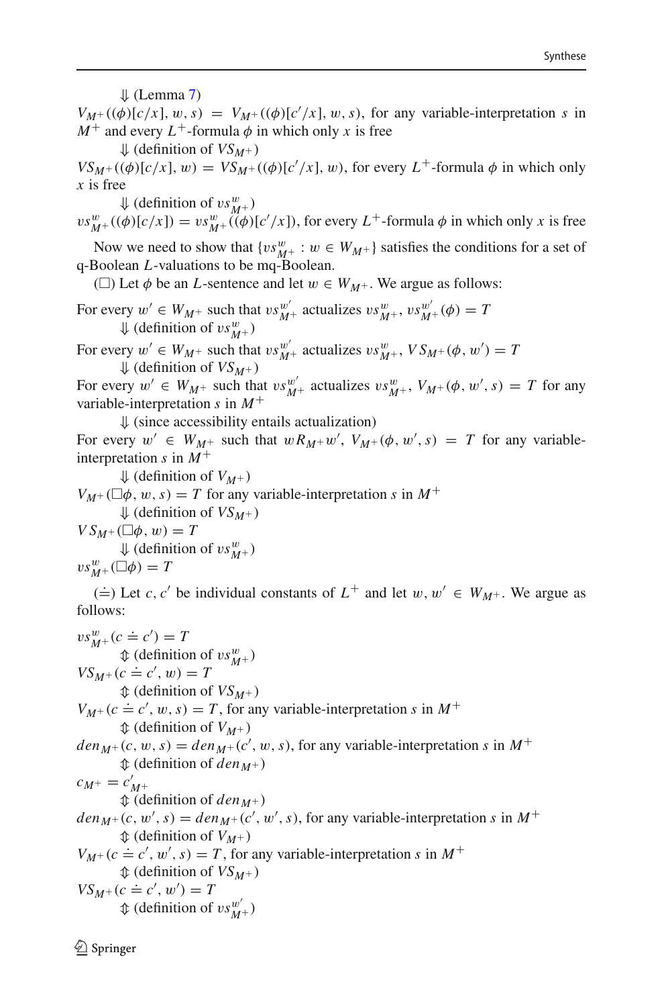⇓ (Lemma [7\)](#page-21-1)

 $V_{M}$ +(( $\phi$ )[*c*/*x*], w,*s*) =  $V_{M}$ +(( $\phi$ )[*c'*/*x*], w,*s*), for any variable-interpretation *s* in  $M^+$  and every  $L^+$ -formula  $\phi$  in which only *x* is free

 $\downarrow$  (definition of  $VS_{M+}$ )

 $VS_{M^+}((\phi)[c/x], w) = VS_{M^+}((\phi)[c'/x], w)$ , for every  $L^+$ -formula  $\phi$  in which only *x* is free

 $\downarrow$  (definition of  $vs^w_{M+}$ )  $v s^w_{M^+}((\phi)[c/x]) = v s^w_{M^+}((\phi)[c'/x])$ , for every  $L^+$ -formula  $\phi$  in which only *x* is free

Now we need to show that  $\{vs^w_{M^+}: w \in W_{M^+}\}\$  satisfies the conditions for a set of q-Boolean *L*-valuations to be mq-Boolean.

( $\square$ ) Let  $\phi$  be an *L*-sentence and let  $w \in W_{M^+}$ . We argue as follows:

For every  $w' \in W_{M^+}$  such that  $vs^{w'}_{M^+}$  actualizes  $vs^{w}_{M^+}$ ,  $vs^{w'}_{M^+}(\phi) = T$  $\Downarrow$  (definition of  $vs^w_{M^+}$ )

For every  $w' \in W_{M^+}$  such that  $vs^{w'}_{M^+}$  actualizes  $vs^{w}_{M^+}$ ,  $VS_{M^+}(\phi, w') = T$  $\downarrow$  (definition of  $VS_{M+}$ )

For every  $w' \in W_{M^+}$  such that  $vs^{w'}_{M^+}$  actualizes  $vs^{w}_{M^+}$ ,  $V_{M^+}(\phi, w', s) = T$  for any variable-interpretation *s* in *M*+

 $\downarrow$  (since accessibility entails actualization)

For every  $w' \in W_{M^+}$  such that  $wR_{M^+}w'$ ,  $V_{M^+}(\phi, w', s) = T$  for any variableinterpretation  $s$  in  $M^+$ 

 $\Downarrow$  (definition of  $V_{M+}$ )  $V_{M}$ +( $\square \phi$ , w, s) = *T* for any variable-interpretation *s* in  $M^{+}$  $\downarrow$  (definition of  $VS_{M+}$ )  $VS_{M^+}(\Box \phi, w) = T$  $\Downarrow$  (definition of  $vs^w_{M^+}$ )

$$
vs^w_{M^+}(\Box \phi) = T
$$

( $\dot{=}$ ) Let *c*, *c'* be individual constants of *L*<sup>+</sup> and let *w*, *w'* ∈ *W<sub>M</sub>*+. We argue as follows:

$$
vs_{M^{+}}^{w}(c \doteq c') = T
$$
  
\n
$$
\oint (definition of vs_{M^{+}}^{w})
$$
  
\n
$$
VS_{M^{+}}(c \doteq c', w) = T
$$
  
\n
$$
\oint (definition of VS_{M^{+}})
$$
  
\n
$$
V_{M^{+}}(c \doteq c', w, s) = T, \text{ for any variable-interpretation } s \text{ in } M^{+}
$$
  
\n
$$
\oint (definition of V_{M^{+}})
$$
  
\n
$$
den_{M^{+}}(c, w, s) = den_{M^{+}}(c', w, s), \text{ for any variable-interpretation } s \text{ in } M^{+}
$$
  
\n
$$
\oint (definition of den_{M^{+}})
$$
  
\n
$$
den_{M^{+}}(c, w', s) = den_{M^{+}}(c', w', s), \text{ for any variable-interpretation } s \text{ in } M^{+}
$$
  
\n
$$
\oint (definition of V_{M^{+}})
$$
  
\n
$$
V_{M^{+}}(c \doteq c', w', s) = T, \text{ for any variable-interpretation } s \text{ in } M^{+}
$$
  
\n
$$
\oint (definition of VS_{M^{+}})
$$
  
\n
$$
VS_{M^{+}}(c \doteq c', w') = T
$$
  
\n
$$
\oint (definition of vs_{M^{+}}^{w'})
$$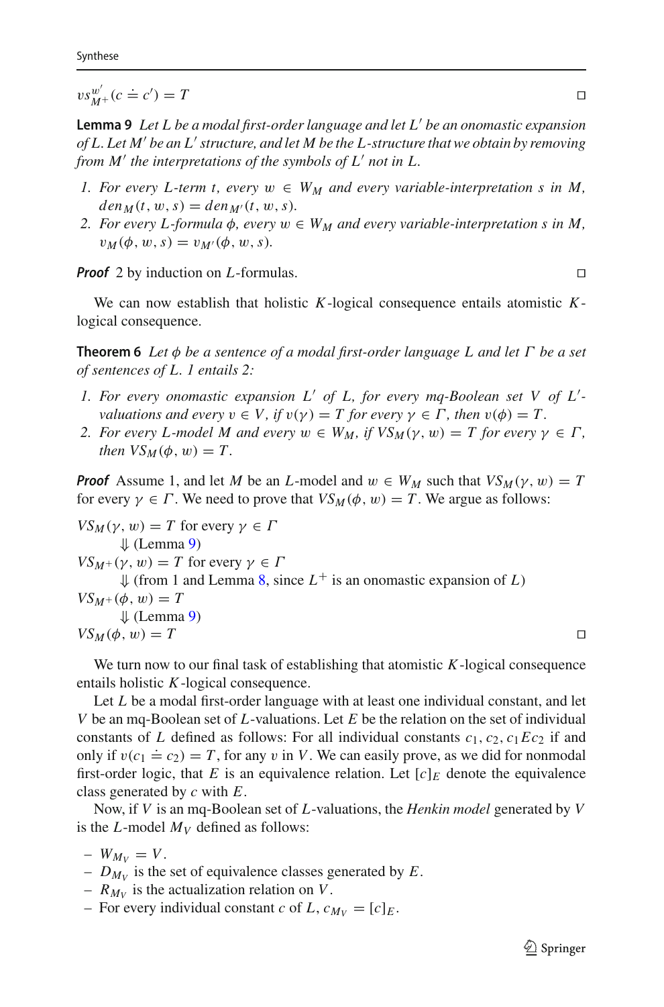$vs^{w'}_{M^+}(c \doteq c'$  $) = T$ 

<span id="page-24-0"></span>**Lemma 9** *Let L be a modal first-order language and let L be an onomastic expansion of L. Let M be an L structure, and let M be the L-structure that we obtain by removing from M'* the interpretations of the symbols of  $L'$  not in  $L$ .

- *1. For every L-term t, every*  $w \in W_M$  *and every variable-interpretation s in M,*  $den_{M}(t, w, s) = den_{M'}(t, w, s).$
- *2. For every L-formula φ, every*  $w ∈ W<sub>M</sub>$  *and every variable-interpretation s in M,*  $v_M(\phi, w, s) = v_{M'}(\phi, w, s).$

*Proof* 2 by induction on *L*-formulas. □

<span id="page-24-1"></span>We can now establish that holistic *K*-logical consequence entails atomistic *K*logical consequence.

**Theorem 6** *Let* φ *be a sentence of a modal first-order language L and let* Γ *be a set of sentences of L. 1 entails 2:*

- *1. For every onomastic expansion L of L, for every mq-Boolean set V of L valuations and every*  $v \in V$ *, if*  $v(\gamma) = T$  for every  $\gamma \in \Gamma$ *, then*  $v(\phi) = T$ *.*
- *2. For every L-model M and every*  $w \in W_M$ , if  $VS_M(\gamma, w) = T$  for every  $\gamma \in \Gamma$ , *then*  $VS_M(\phi, w) = T$ .

*Proof* Assume 1, and let *M* be an *L*-model and  $w \in W_M$  such that  $VS_M(\gamma, w) = T$ for every  $\gamma \in \Gamma$ . We need to prove that  $VS_M(\phi, w) = T$ . We argue as follows:

$$
VS_M(\gamma, w) = T \text{ for every } \gamma \in \Gamma
$$
  
\n
$$
\Downarrow (\text{Lemma 9})
$$
  
\n
$$
VS_{M^+}(\gamma, w) = T \text{ for every } \gamma \in \Gamma
$$
  
\n
$$
\Downarrow (\text{from 1 and Lemma 8, since } L^+ \text{ is an onomastic expansion of } L)
$$
  
\n
$$
VS_{M^+}(\phi, w) = T
$$
  
\n
$$
\Downarrow (\text{Lemma 9})
$$
  
\n
$$
VS_M(\phi, w) = T
$$

We turn now to our final task of establishing that atomistic *K*-logical consequence entails holistic *K*-logical consequence.

Let *L* be a modal first-order language with at least one individual constant, and let *V* be an mq-Boolean set of *L*-valuations. Let *E* be the relation on the set of individual constants of *L* defined as follows: For all individual constants  $c_1$ ,  $c_2$ ,  $c_1 E c_2$  if and only if  $v(c_1 \doteq c_2) = T$ , for any v in *V*. We can easily prove, as we did for nonmodal first-order logic, that  $E$  is an equivalence relation. Let  $[c]_E$  denote the equivalence class generated by *c* with *E*.

Now, if *V* is an mq-Boolean set of *L*-valuations, the *Henkin model* generated by *V* is the *L*-model  $M_V$  defined as follows:

 $-W_{M_V} = V$ .

- $-D_{M_V}$  is the set of equivalence classes generated by *E*.
- $R_{M_V}$  is the actualization relation on *V*.
- For every individual constant *c* of *L*,  $c_{M_V} = [c]_E$ .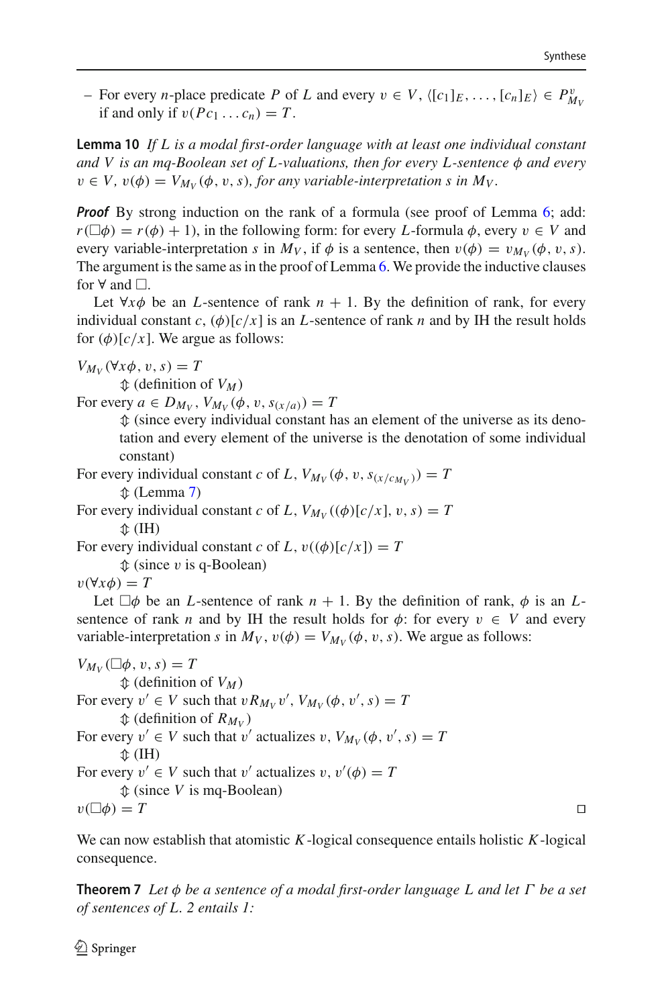*−* For every *n*-place predicate *P* of *L* and every  $v \in V$ ,  $\langle [c_1]_E, \ldots, [c_n]_E \rangle \in P^v_{M_v}$ if and only if  $v(Pc_1... c_n) = T$ .

<span id="page-25-0"></span>**Lemma 10** *If L is a modal first-order language with at least one individual constant and V is an mq-Boolean set of L-valuations, then for every L-sentence* φ *and every*  $v \in V$ ,  $v(\phi) = V_{M_V}(\phi, v, s)$ , for any variable-interpretation s in M<sub>V</sub>.

**Proof** By strong induction on the rank of a formula (see proof of Lemma [6;](#page-20-0) add:  $r(\Box \phi) = r(\phi) + 1$ , in the following form: for every *L*-formula  $\phi$ , every  $v \in V$  and every variable-interpretation *s* in  $M_V$ , if  $\phi$  is a sentence, then  $v(\phi) = v_{M_V}(\phi, v, s)$ . The argument is the same as in the proof of Lemma [6.](#page-20-0) We provide the inductive clauses for  $\forall$  and  $\Box$ .

Let  $\forall x \phi$  be an *L*-sentence of rank  $n + 1$ . By the definition of rank, for every individual constant *c*,  $(\phi)[c/x]$  is an *L*-sentence of rank *n* and by IH the result holds for  $(\phi)$ [ $c/x$ ]. We argue as follows:

 $V_{M_V}(\forall x \phi, v, s) = T$ 

 $\oint$  (definition of  $V_M$ )

For every  $a \in D_{M_V}$ ,  $V_{M_V}(\phi, v, s_{(x/a)}) = T$ 

 $\hat{\phi}$  (since every individual constant has an element of the universe as its denotation and every element of the universe is the denotation of some individual constant)

For every individual constant *c* of *L*,  $V_{M_V}(\phi, v, s_{(x/c_{M_V})}) = T$ 

 $\text{\textcircled{t}}$  (Lemma [7\)](#page-21-1)

For every individual constant *c* of *L*,  $V_{M_V}((\phi)[c/x], v, s) = T$  $\mathfrak{D}(\mathrm{IH})$ 

For every individual constant *c* of *L*,  $v((\phi)[c/x]) = T$ 

 $\oint$  (since v is q-Boolean)

 $v(\forall x \phi) = T$ 

Let  $\Box \phi$  be an *L*-sentence of rank  $n + 1$ . By the definition of rank,  $\phi$  is an *L*sentence of rank *n* and by IH the result holds for  $\phi$ : for every  $v \in V$  and every variable-interpretation *s* in  $M_V$ ,  $v(\phi) = V_{M_V}(\phi, v, s)$ . We argue as follows:

 $V_{M_V}(\Box \phi, v, s) = T$  $\oint$  (definition of  $V_M$ ) For every  $v' \in V$  such that  $vR_{M_V}v'$ ,  $V_{M_V}(\phi, v', s) = T$  $\oint$  (definition of  $R_{M_V}$ ) For every  $v' \in V$  such that  $v'$  actualizes  $v$ ,  $V_{M_V}(\phi, v', s) = T$  $\mathcal{L}$  (IH) For every  $v' \in V$  such that v' actualizes  $v, v'(\phi) = T$  $\oint \psi$  (since *V* is mq-Boolean)<br> $v(\Box \phi) = T$  $v(\Box \phi) = T$ 

<span id="page-25-1"></span>We can now establish that atomistic *K*-logical consequence entails holistic *K*-logical consequence.

**Theorem 7** *Let* φ *be a sentence of a modal first-order language L and let* Γ *be a set of sentences of L. 2 entails 1:*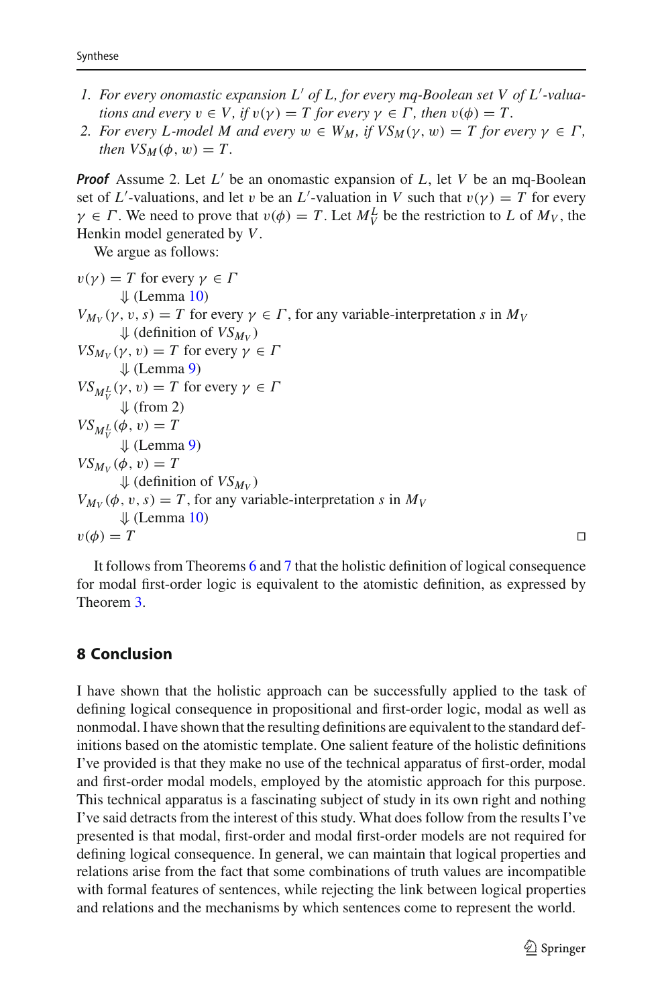- *1. For every onomastic expansion L of L, for every mq-Boolean set V of L -valuations and every*  $v \in V$ *, if*  $v(y) = T$  for every  $\gamma \in \Gamma$ *, then*  $v(\phi) = T$ *.*
- *2. For every L-model M and every*  $w \in W_M$ , if  $VS_M(\gamma, w) = T$  for every  $\gamma \in \Gamma$ , *then*  $VS_M(\phi, w) = T$ .

*Proof* Assume 2. Let *L'* be an onomastic expansion of *L*, let *V* be an mq-Boolean set of *L*'-valuations, and let v be an *L*'-valuation in *V* such that  $v(\gamma) = T$  for every  $\gamma \in \Gamma$ . We need to prove that  $v(\phi) = T$ . Let  $M_V^L$  be the restriction to *L* of  $M_V$ , the Henkin model generated by *V*.

We argue as follows:

 $v(\gamma) = T$  for every  $\gamma \in \Gamma$ ⇓ (Lemma [10\)](#page-25-0)  $V_{M_V}(\gamma, v, s) = T$  for every  $\gamma \in \Gamma$ , for any variable-interpretation *s* in  $M_V$  $\downarrow$  (definition of  $VS_{M_V}$ )  $VS_{M_V}(\gamma, v) = T$  for every  $\gamma \in \Gamma$  $\downarrow$  (Lemma [9\)](#page-24-0)  $VS_{M_V^L}(\gamma, v) = T$  for every  $\gamma \in \Gamma$  $\downarrow$  (from 2)  $VS_{M_V^L}(\phi, v) = T$ ⇓ (Lemma [9\)](#page-24-0)  $VS_{M_V}(\phi, v) = T$  $\downarrow$  (definition of  $VS_{M_V}$ )  $V_{M_V}(\phi, v, s) = T$ , for any variable-interpretation *s* in  $M_V$  $\Downarrow$  (Lemma [10\)](#page-25-0)<br> $v(\phi) = T$  $v(\phi) = T$ 

It follows from Theorems [6](#page-24-1) and [7](#page-25-1) that the holistic definition of logical consequence for modal first-order logic is equivalent to the atomistic definition, as expressed by Theorem [3.](#page-14-1)

## **8 Conclusion**

I have shown that the holistic approach can be successfully applied to the task of defining logical consequence in propositional and first-order logic, modal as well as nonmodal. I have shown that the resulting definitions are equivalent to the standard definitions based on the atomistic template. One salient feature of the holistic definitions I've provided is that they make no use of the technical apparatus of first-order, modal and first-order modal models, employed by the atomistic approach for this purpose. This technical apparatus is a fascinating subject of study in its own right and nothing I've said detracts from the interest of this study. What does follow from the results I've presented is that modal, first-order and modal first-order models are not required for defining logical consequence. In general, we can maintain that logical properties and relations arise from the fact that some combinations of truth values are incompatible with formal features of sentences, while rejecting the link between logical properties and relations and the mechanisms by which sentences come to represent the world.